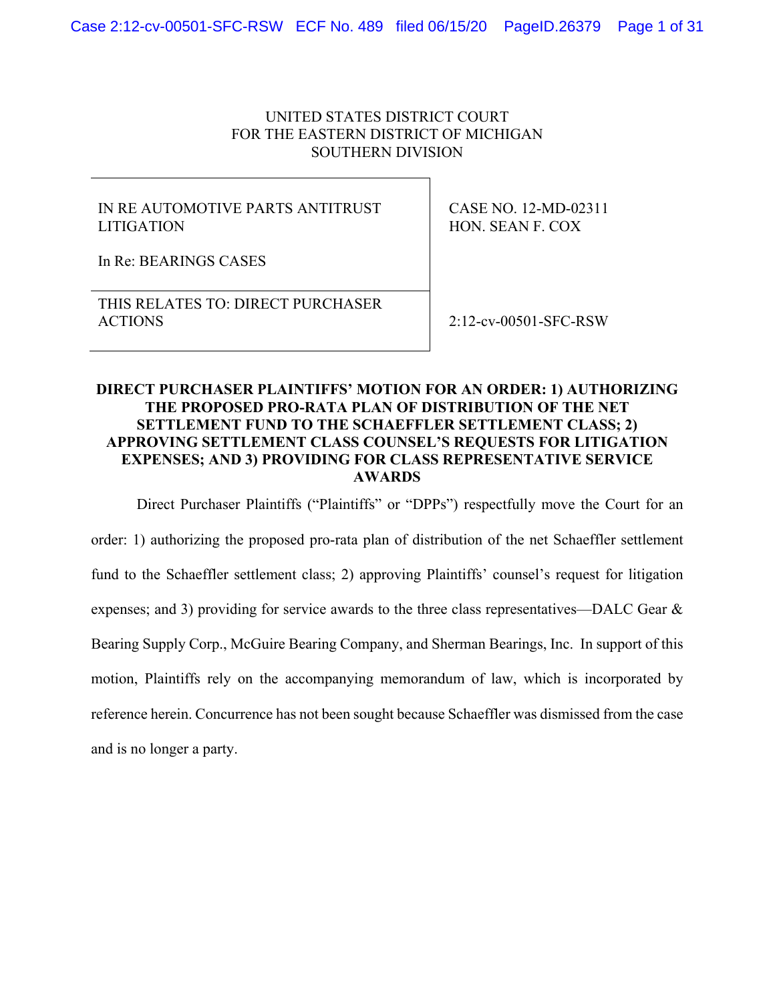#### UNITED STATES DISTRICT COURT FOR THE EASTERN DISTRICT OF MICHIGAN SOUTHERN DIVISION

### IN RE AUTOMOTIVE PARTS ANTITRUST LITIGATION

CASE NO. 12-MD-02311 HON. SEAN F. COX

In Re: BEARINGS CASES

### THIS RELATES TO: DIRECT PURCHASER ACTIONS 2:12-cv-00501-SFC-RSW

### **DIRECT PURCHASER PLAINTIFFS' MOTION FOR AN ORDER: 1) AUTHORIZING THE PROPOSED PRO-RATA PLAN OF DISTRIBUTION OF THE NET SETTLEMENT FUND TO THE SCHAEFFLER SETTLEMENT CLASS; 2) APPROVING SETTLEMENT CLASS COUNSEL'S REQUESTS FOR LITIGATION EXPENSES; AND 3) PROVIDING FOR CLASS REPRESENTATIVE SERVICE AWARDS**

Direct Purchaser Plaintiffs ("Plaintiffs" or "DPPs") respectfully move the Court for an order: 1) authorizing the proposed pro-rata plan of distribution of the net Schaeffler settlement fund to the Schaeffler settlement class; 2) approving Plaintiffs' counsel's request for litigation expenses; and 3) providing for service awards to the three class representatives—DALC Gear & Bearing Supply Corp., McGuire Bearing Company, and Sherman Bearings, Inc. In support of this motion, Plaintiffs rely on the accompanying memorandum of law, which is incorporated by reference herein. Concurrence has not been sought because Schaeffler was dismissed from the case and is no longer a party.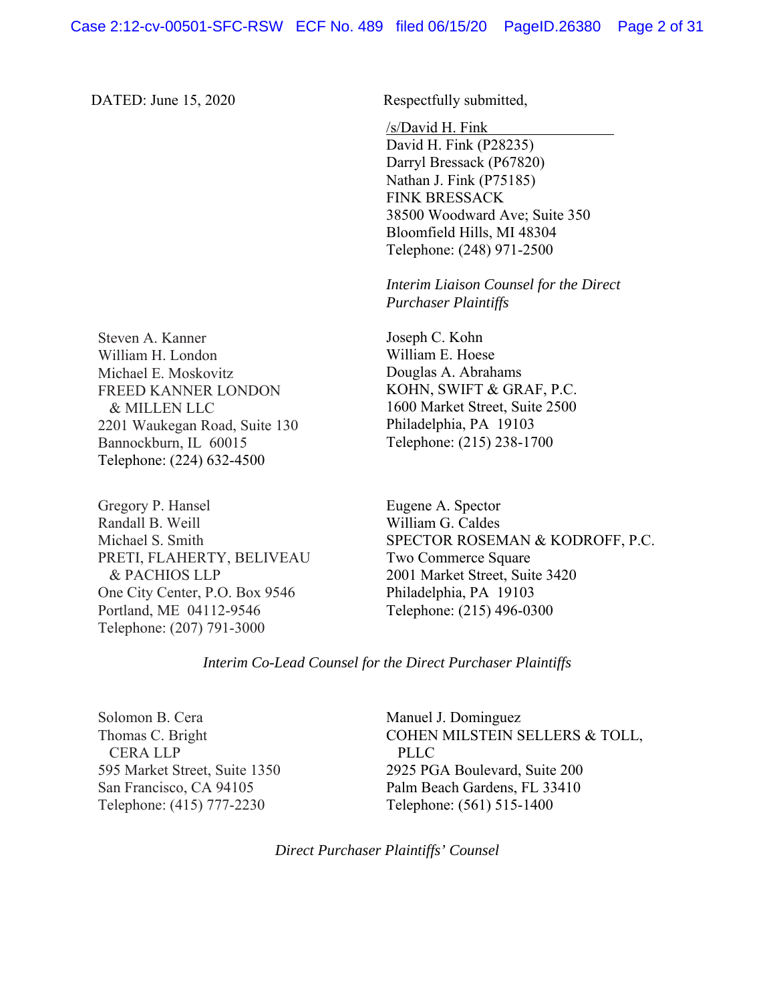DATED: June 15, 2020 Respectfully submitted,

/s/David H. Fink

David H. Fink (P28235) Darryl Bressack (P67820) Nathan J. Fink (P75185) FINK BRESSACK 38500 Woodward Ave; Suite 350 Bloomfield Hills, MI 48304 Telephone: (248) 971-2500

*Interim Liaison Counsel for the Direct Purchaser Plaintiffs* 

Joseph C. Kohn William E. Hoese Douglas A. Abrahams KOHN, SWIFT & GRAF, P.C. 1600 Market Street, Suite 2500 Philadelphia, PA 19103 Telephone: (215) 238-1700

Eugene A. Spector William G. Caldes SPECTOR ROSEMAN & KODROFF, P.C. Two Commerce Square 2001 Market Street, Suite 3420 Philadelphia, PA 19103 Telephone: (215) 496-0300

*Interim Co-Lead Counsel for the Direct Purchaser Plaintiffs* 

Solomon B. Cera Thomas C. Bright CERA LLP 595 Market Street, Suite 1350 San Francisco, CA 94105 Telephone: (415) 777-2230

Manuel J. Dominguez COHEN MILSTEIN SELLERS & TOLL, PLLC 2925 PGA Boulevard, Suite 200 Palm Beach Gardens, FL 33410 Telephone: (561) 515-1400

*Direct Purchaser Plaintiffs' Counsel* 

Steven A. Kanner William H. London Michael E. Moskovitz FREED KANNER LONDON & MILLEN LLC 2201 Waukegan Road, Suite 130 Bannockburn, IL 60015 Telephone: (224) 632-4500

Gregory P. Hansel Randall B. Weill Michael S. Smith PRETI, FLAHERTY, BELIVEAU & PACHIOS LLP One City Center, P.O. Box 9546 Portland, ME 04112-9546 Telephone: (207) 791-3000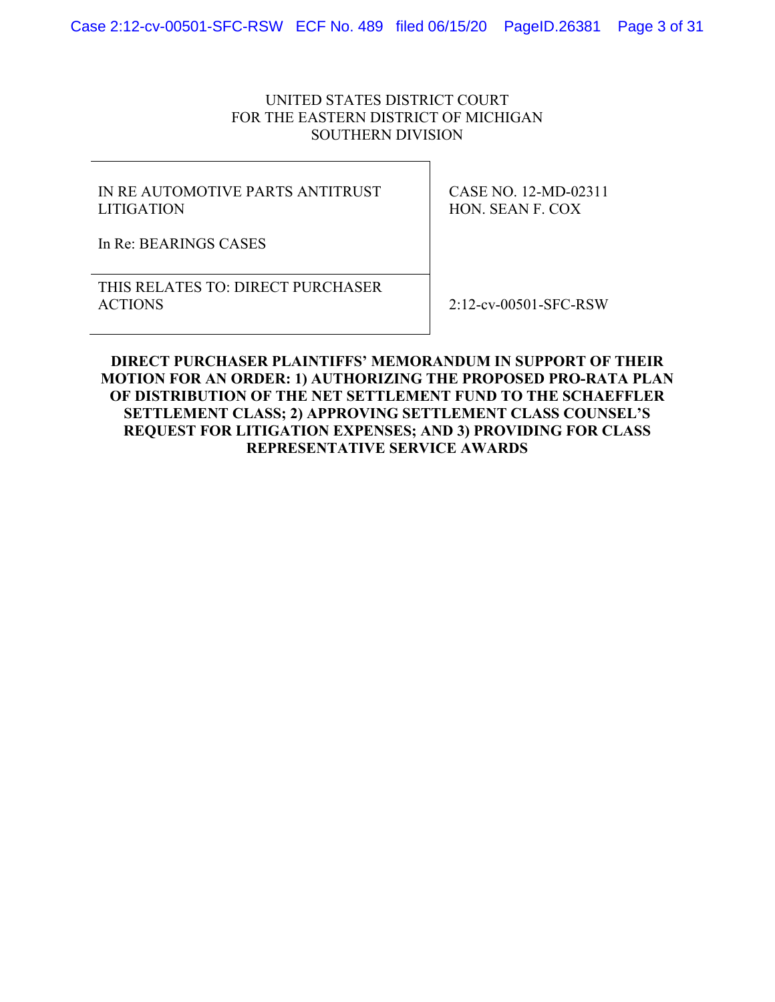### UNITED STATES DISTRICT COURT FOR THE EASTERN DISTRICT OF MICHIGAN SOUTHERN DIVISION

### IN RE AUTOMOTIVE PARTS ANTITRUST LITIGATION

CASE NO. 12-MD-02311 HON. SEAN F. COX

In Re: BEARINGS CASES

THIS RELATES TO: DIRECT PURCHASER ACTIONS 2:12-cv-00501-SFC-RSW

**DIRECT PURCHASER PLAINTIFFS' MEMORANDUM IN SUPPORT OF THEIR MOTION FOR AN ORDER: 1) AUTHORIZING THE PROPOSED PRO-RATA PLAN OF DISTRIBUTION OF THE NET SETTLEMENT FUND TO THE SCHAEFFLER SETTLEMENT CLASS; 2) APPROVING SETTLEMENT CLASS COUNSEL'S REQUEST FOR LITIGATION EXPENSES; AND 3) PROVIDING FOR CLASS REPRESENTATIVE SERVICE AWARDS**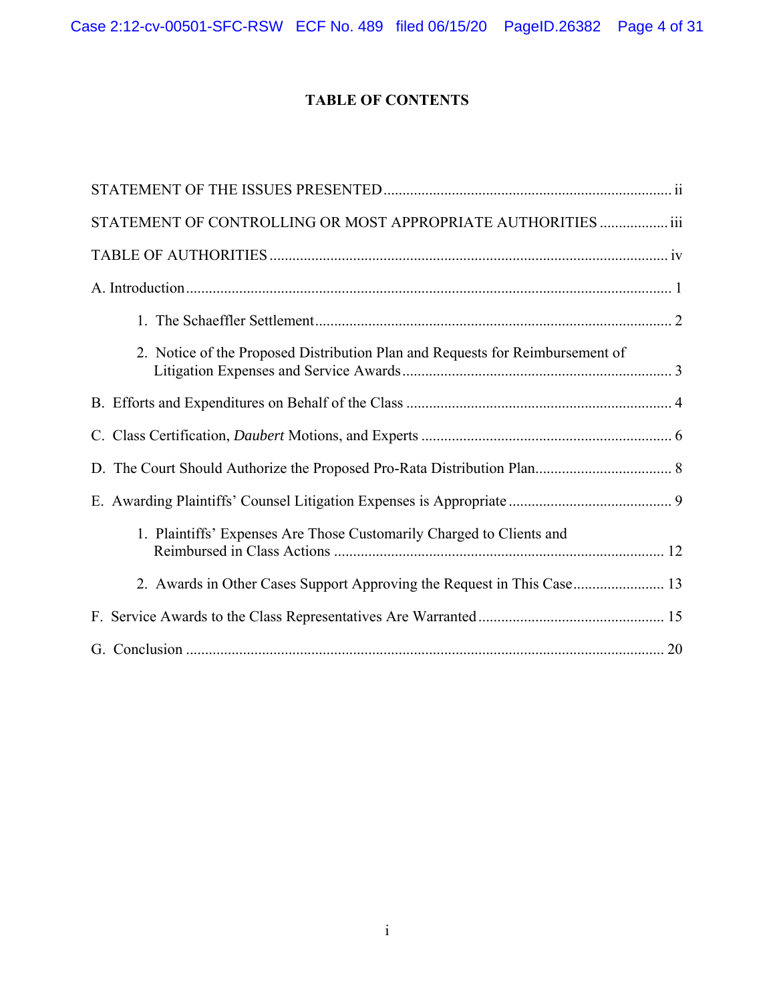Case 2:12-cv-00501-SFC-RSW ECF No. 489 filed 06/15/20 PageID.26382 Page 4 of 31

# **TABLE OF CONTENTS**

| STATEMENT OF CONTROLLING OR MOST APPROPRIATE AUTHORITIES  iii                 |
|-------------------------------------------------------------------------------|
|                                                                               |
|                                                                               |
|                                                                               |
| 2. Notice of the Proposed Distribution Plan and Requests for Reimbursement of |
|                                                                               |
|                                                                               |
|                                                                               |
|                                                                               |
| 1. Plaintiffs' Expenses Are Those Customarily Charged to Clients and          |
| 2. Awards in Other Cases Support Approving the Request in This Case 13        |
|                                                                               |
|                                                                               |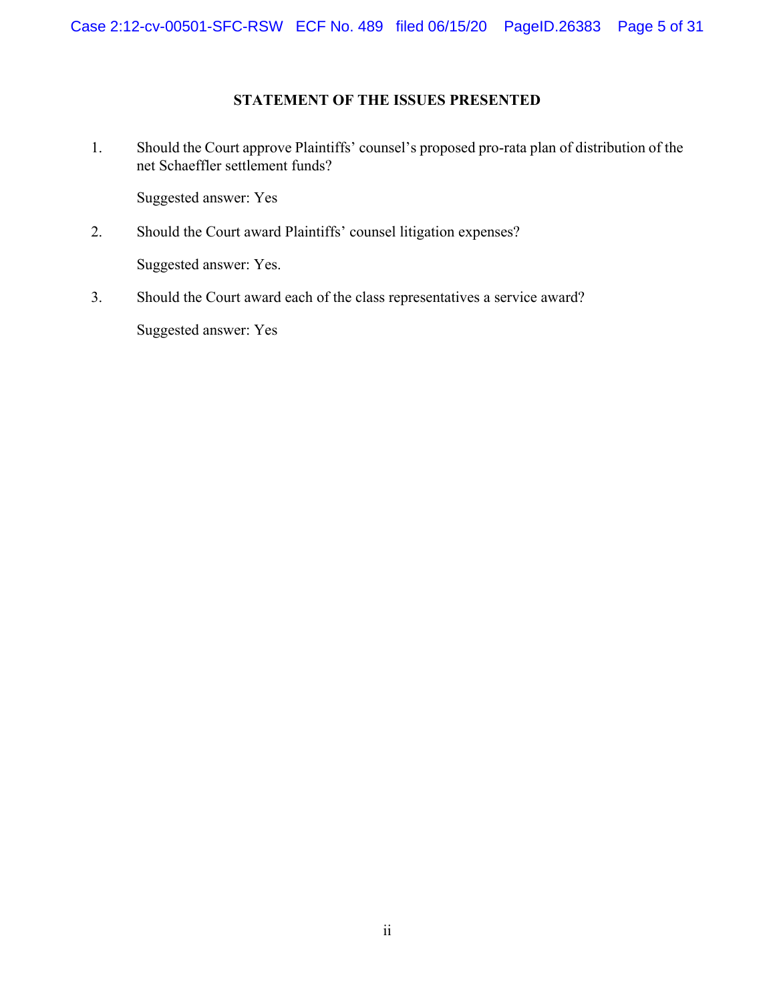### **STATEMENT OF THE ISSUES PRESENTED**

1. Should the Court approve Plaintiffs' counsel's proposed pro-rata plan of distribution of the net Schaeffler settlement funds?

Suggested answer: Yes

- 2. Should the Court award Plaintiffs' counsel litigation expenses? Suggested answer: Yes.
- 3. Should the Court award each of the class representatives a service award? Suggested answer: Yes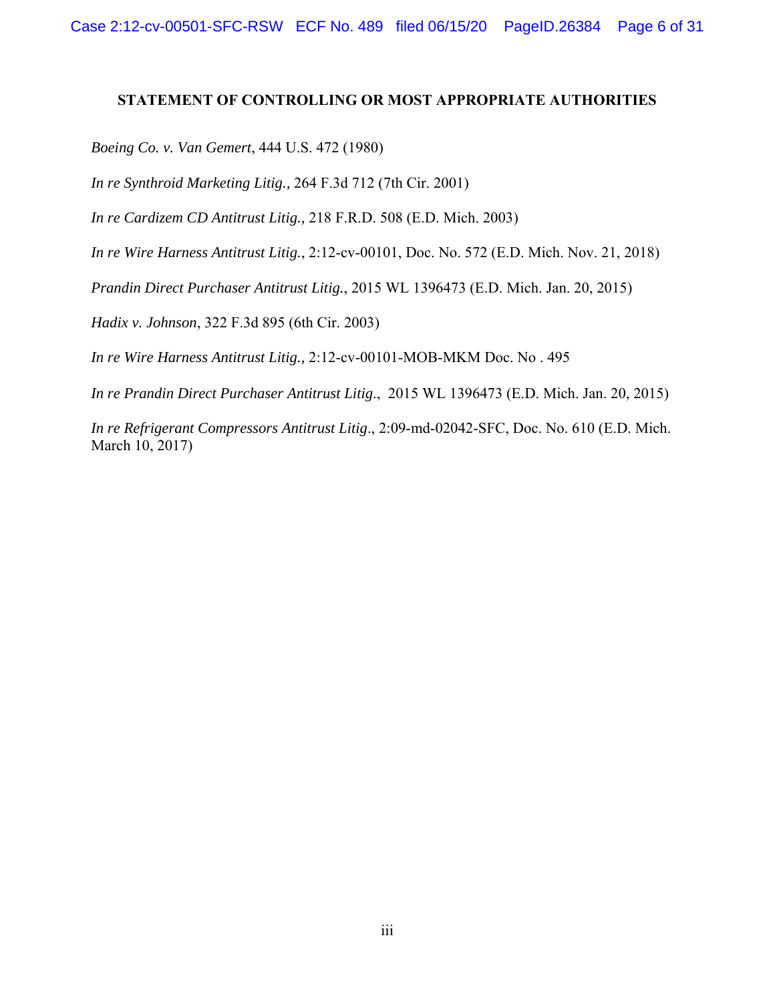#### **STATEMENT OF CONTROLLING OR MOST APPROPRIATE AUTHORITIES**

*Boeing Co. v. Van Gemert*, 444 U.S. 472 (1980)

*In re Synthroid Marketing Litig.,* 264 F.3d 712 (7th Cir. 2001)

*In re Cardizem CD Antitrust Litig.,* 218 F.R.D. 508 (E.D. Mich. 2003)

*In re Wire Harness Antitrust Litig.*, 2:12-cv-00101, Doc. No. 572 (E.D. Mich. Nov. 21, 2018)

*Prandin Direct Purchaser Antitrust Litig.*, 2015 WL 1396473 (E.D. Mich. Jan. 20, 2015)

*Hadix v. Johnson*, 322 F.3d 895 (6th Cir. 2003)

*In re Wire Harness Antitrust Litig.,* 2:12-cv-00101-MOB-MKM Doc. No . 495

*In re Prandin Direct Purchaser Antitrust Litig*., 2015 WL 1396473 (E.D. Mich. Jan. 20, 2015)

*In re Refrigerant Compressors Antitrust Litig*., 2:09-md-02042-SFC, Doc. No. 610 (E.D. Mich. March 10, 2017)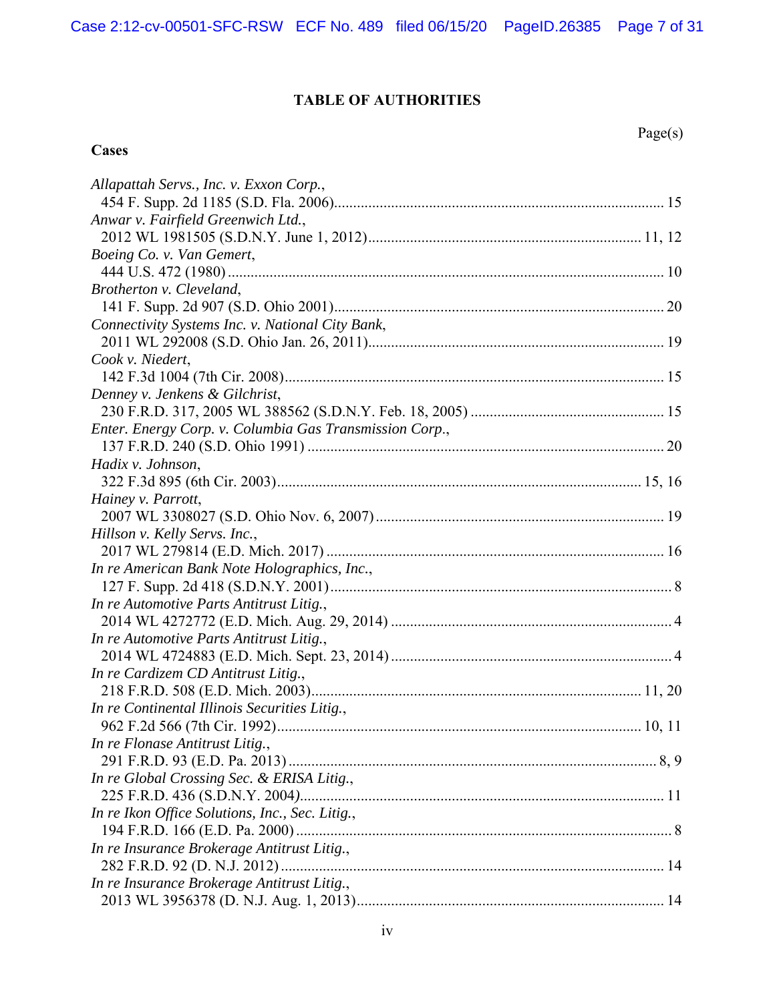# **TABLE OF AUTHORITIES**

**Cases**

| Allapattah Servs., Inc. v. Exxon Corp.,                 |  |
|---------------------------------------------------------|--|
|                                                         |  |
| Anwar v. Fairfield Greenwich Ltd.,                      |  |
|                                                         |  |
| Boeing Co. v. Van Gemert,                               |  |
|                                                         |  |
| Brotherton v. Cleveland,                                |  |
|                                                         |  |
| Connectivity Systems Inc. v. National City Bank,        |  |
|                                                         |  |
| Cook v. Niedert,                                        |  |
|                                                         |  |
| Denney v. Jenkens & Gilchrist,                          |  |
|                                                         |  |
| Enter. Energy Corp. v. Columbia Gas Transmission Corp., |  |
|                                                         |  |
| Hadix v. Johnson,                                       |  |
|                                                         |  |
| Hainey v. Parrott,                                      |  |
|                                                         |  |
| Hillson v. Kelly Servs. Inc.,                           |  |
|                                                         |  |
| In re American Bank Note Holographics, Inc.,            |  |
|                                                         |  |
| In re Automotive Parts Antitrust Litig.,                |  |
|                                                         |  |
| In re Automotive Parts Antitrust Litig.,                |  |
|                                                         |  |
| In re Cardizem CD Antitrust Litig.,                     |  |
|                                                         |  |
| In re Continental Illinois Securities Litig.,           |  |
|                                                         |  |
| In re Flonase Antitrust Litig.,                         |  |
|                                                         |  |
| In re Global Crossing Sec. & ERISA Litig.,              |  |
|                                                         |  |
| In re Ikon Office Solutions, Inc., Sec. Litig.,         |  |
|                                                         |  |
| In re Insurance Brokerage Antitrust Litig.,             |  |
|                                                         |  |
| In re Insurance Brokerage Antitrust Litig.,             |  |
|                                                         |  |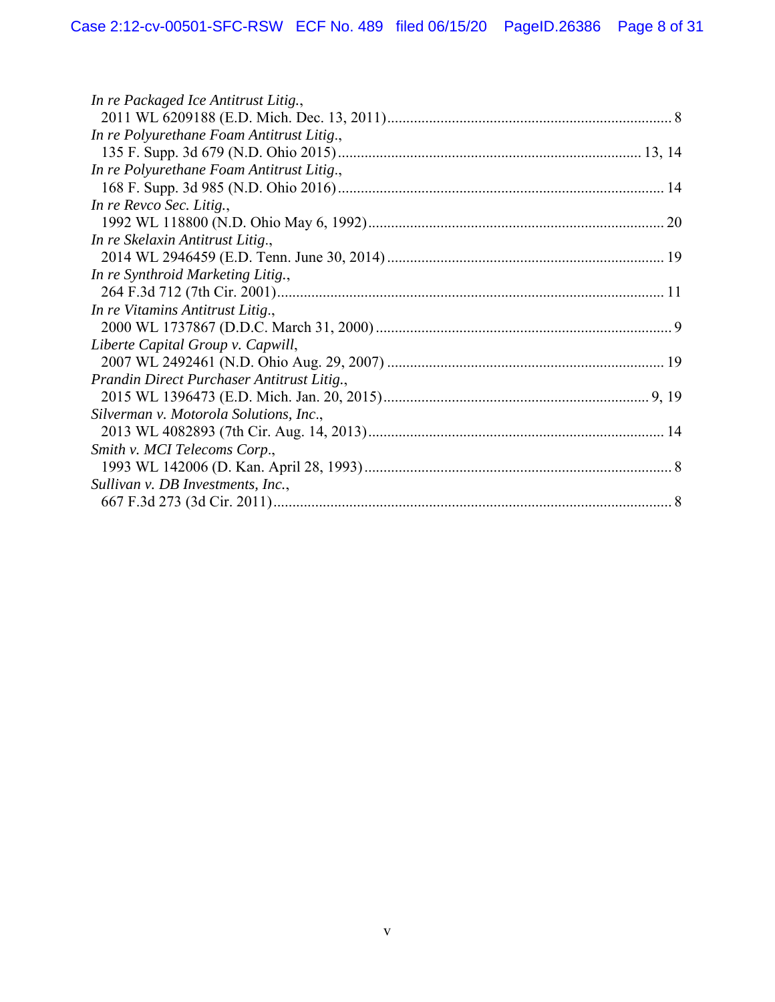| In re Packaged Ice Antitrust Litig.,       |  |
|--------------------------------------------|--|
|                                            |  |
| In re Polyurethane Foam Antitrust Litig.,  |  |
|                                            |  |
| In re Polyurethane Foam Antitrust Litig.,  |  |
|                                            |  |
| In re Revco Sec. Litig.,                   |  |
|                                            |  |
| In re Skelaxin Antitrust Litig.,           |  |
|                                            |  |
| In re Synthroid Marketing Litig.,          |  |
|                                            |  |
| In re Vitamins Antitrust Litig.,           |  |
|                                            |  |
| Liberte Capital Group v. Capwill,          |  |
|                                            |  |
| Prandin Direct Purchaser Antitrust Litig., |  |
|                                            |  |
| Silverman v. Motorola Solutions, Inc.,     |  |
|                                            |  |
| Smith v. MCI Telecoms Corp.,               |  |
|                                            |  |
| Sullivan v. DB Investments, Inc.,          |  |
|                                            |  |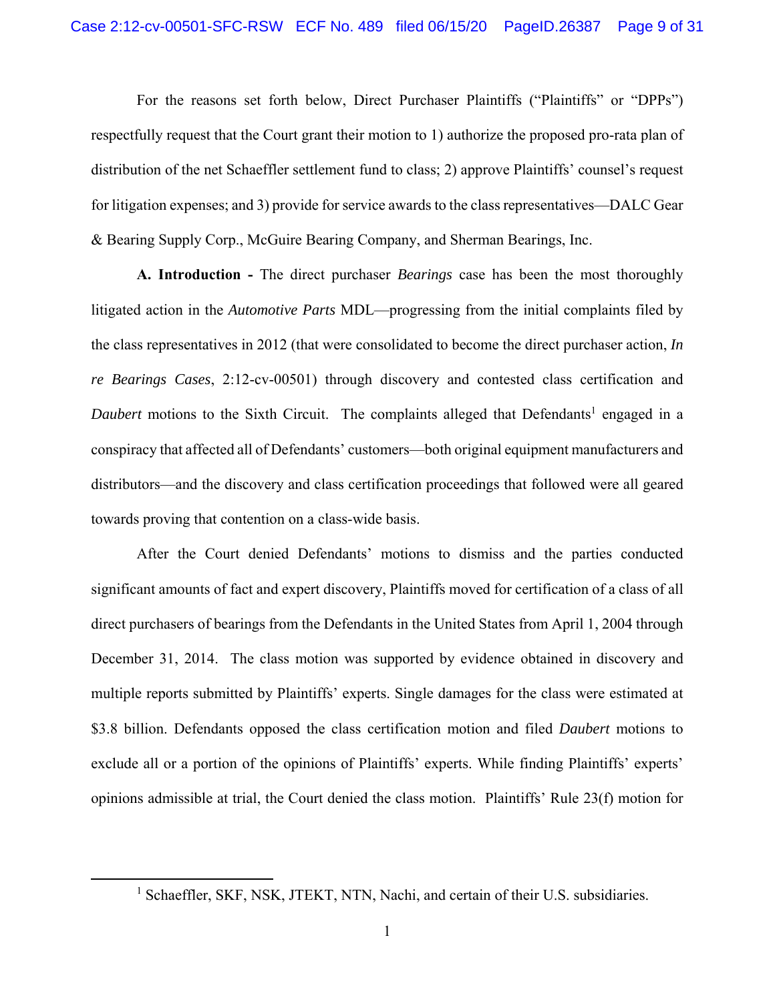For the reasons set forth below, Direct Purchaser Plaintiffs ("Plaintiffs" or "DPPs") respectfully request that the Court grant their motion to 1) authorize the proposed pro-rata plan of distribution of the net Schaeffler settlement fund to class; 2) approve Plaintiffs' counsel's request for litigation expenses; and 3) provide for service awards to the class representatives—DALC Gear & Bearing Supply Corp., McGuire Bearing Company, and Sherman Bearings, Inc.

**A. Introduction -** The direct purchaser *Bearings* case has been the most thoroughly litigated action in the *Automotive Parts* MDL—progressing from the initial complaints filed by the class representatives in 2012 (that were consolidated to become the direct purchaser action, *In re Bearings Cases*, 2:12-cv-00501) through discovery and contested class certification and Daubert motions to the Sixth Circuit. The complaints alleged that Defendants<sup>1</sup> engaged in a conspiracy that affected all of Defendants' customers—both original equipment manufacturers and distributors—and the discovery and class certification proceedings that followed were all geared towards proving that contention on a class-wide basis.

After the Court denied Defendants' motions to dismiss and the parties conducted significant amounts of fact and expert discovery, Plaintiffs moved for certification of a class of all direct purchasers of bearings from the Defendants in the United States from April 1, 2004 through December 31, 2014. The class motion was supported by evidence obtained in discovery and multiple reports submitted by Plaintiffs' experts. Single damages for the class were estimated at \$3.8 billion. Defendants opposed the class certification motion and filed *Daubert* motions to exclude all or a portion of the opinions of Plaintiffs' experts. While finding Plaintiffs' experts' opinions admissible at trial, the Court denied the class motion. Plaintiffs' Rule 23(f) motion for

<sup>&</sup>lt;sup>1</sup> Schaeffler, SKF, NSK, JTEKT, NTN, Nachi, and certain of their U.S. subsidiaries.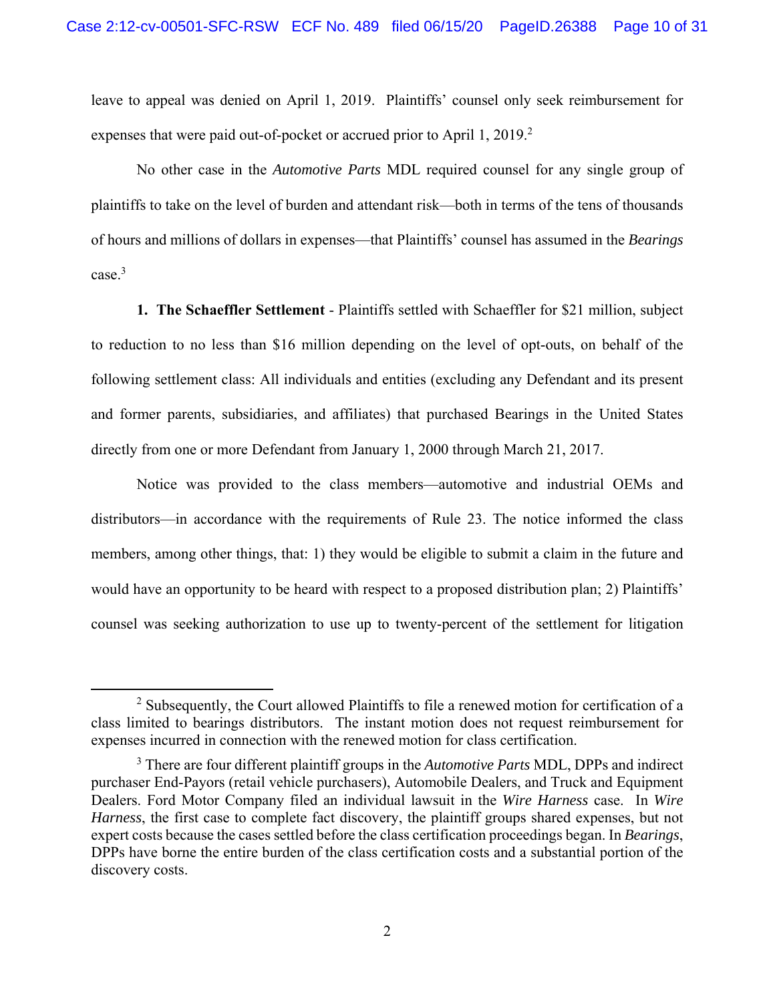leave to appeal was denied on April 1, 2019. Plaintiffs' counsel only seek reimbursement for expenses that were paid out-of-pocket or accrued prior to April 1, 2019. $2$ 

No other case in the *Automotive Parts* MDL required counsel for any single group of plaintiffs to take on the level of burden and attendant risk—both in terms of the tens of thousands of hours and millions of dollars in expenses—that Plaintiffs' counsel has assumed in the *Bearings* case.<sup>3</sup>

**1. The Schaeffler Settlement** - Plaintiffs settled with Schaeffler for \$21 million, subject to reduction to no less than \$16 million depending on the level of opt-outs, on behalf of the following settlement class: All individuals and entities (excluding any Defendant and its present and former parents, subsidiaries, and affiliates) that purchased Bearings in the United States directly from one or more Defendant from January 1, 2000 through March 21, 2017.

Notice was provided to the class members—automotive and industrial OEMs and distributors—in accordance with the requirements of Rule 23. The notice informed the class members, among other things, that: 1) they would be eligible to submit a claim in the future and would have an opportunity to be heard with respect to a proposed distribution plan; 2) Plaintiffs' counsel was seeking authorization to use up to twenty-percent of the settlement for litigation

 $2$  Subsequently, the Court allowed Plaintiffs to file a renewed motion for certification of a class limited to bearings distributors. The instant motion does not request reimbursement for expenses incurred in connection with the renewed motion for class certification.

<sup>3</sup> There are four different plaintiff groups in the *Automotive Parts* MDL, DPPs and indirect purchaser End-Payors (retail vehicle purchasers), Automobile Dealers, and Truck and Equipment Dealers. Ford Motor Company filed an individual lawsuit in the *Wire Harness* case. In *Wire Harness*, the first case to complete fact discovery, the plaintiff groups shared expenses, but not expert costs because the cases settled before the class certification proceedings began. In *Bearings*, DPPs have borne the entire burden of the class certification costs and a substantial portion of the discovery costs.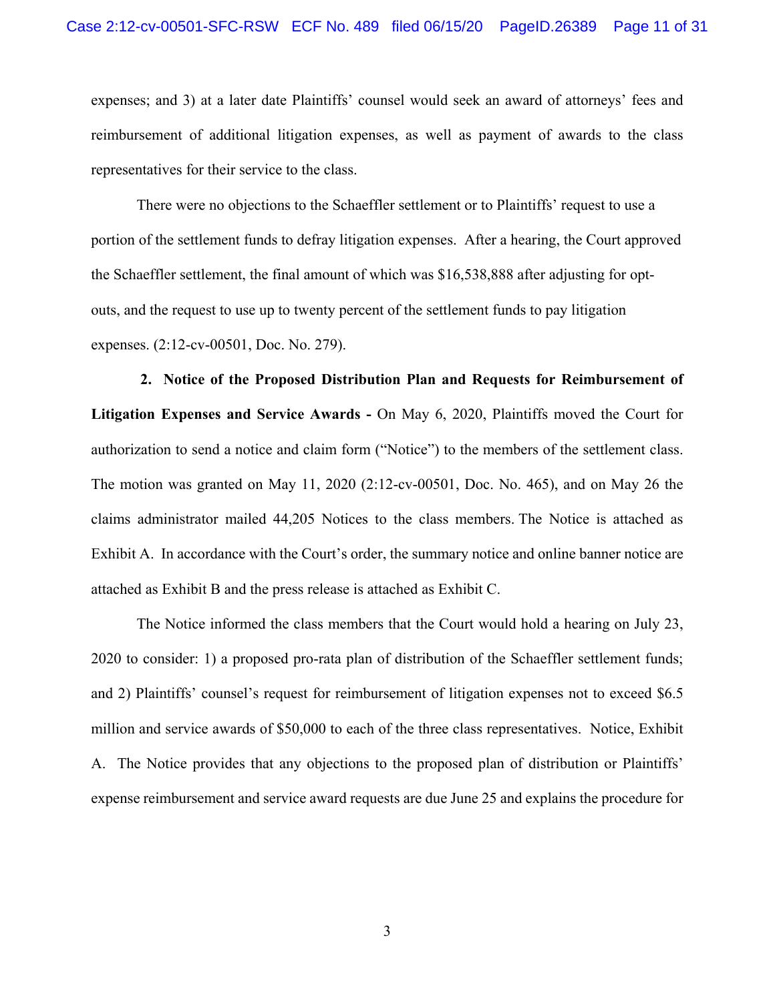expenses; and 3) at a later date Plaintiffs' counsel would seek an award of attorneys' fees and reimbursement of additional litigation expenses, as well as payment of awards to the class representatives for their service to the class.

 There were no objections to the Schaeffler settlement or to Plaintiffs' request to use a portion of the settlement funds to defray litigation expenses. After a hearing, the Court approved the Schaeffler settlement, the final amount of which was \$16,538,888 after adjusting for optouts, and the request to use up to twenty percent of the settlement funds to pay litigation expenses. (2:12-cv-00501, Doc. No. 279).

 **2. Notice of the Proposed Distribution Plan and Requests for Reimbursement of Litigation Expenses and Service Awards -** On May 6, 2020, Plaintiffs moved the Court for authorization to send a notice and claim form ("Notice") to the members of the settlement class. The motion was granted on May 11, 2020 (2:12-cv-00501, Doc. No. 465), and on May 26 the claims administrator mailed 44,205 Notices to the class members. The Notice is attached as Exhibit A. In accordance with the Court's order, the summary notice and online banner notice are attached as Exhibit B and the press release is attached as Exhibit C.

The Notice informed the class members that the Court would hold a hearing on July 23, 2020 to consider: 1) a proposed pro-rata plan of distribution of the Schaeffler settlement funds; and 2) Plaintiffs' counsel's request for reimbursement of litigation expenses not to exceed \$6.5 million and service awards of \$50,000 to each of the three class representatives. Notice, Exhibit A. The Notice provides that any objections to the proposed plan of distribution or Plaintiffs' expense reimbursement and service award requests are due June 25 and explains the procedure for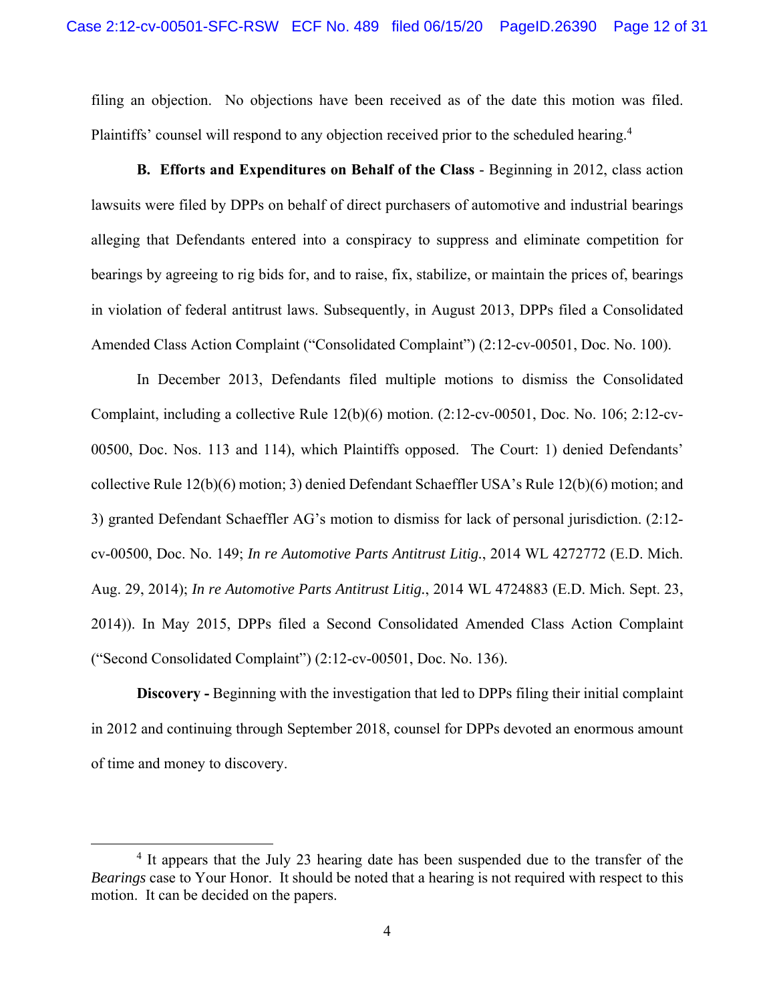filing an objection. No objections have been received as of the date this motion was filed. Plaintiffs' counsel will respond to any objection received prior to the scheduled hearing.<sup>4</sup>

**B. Efforts and Expenditures on Behalf of the Class** - Beginning in 2012, class action lawsuits were filed by DPPs on behalf of direct purchasers of automotive and industrial bearings alleging that Defendants entered into a conspiracy to suppress and eliminate competition for bearings by agreeing to rig bids for, and to raise, fix, stabilize, or maintain the prices of, bearings in violation of federal antitrust laws. Subsequently, in August 2013, DPPs filed a Consolidated Amended Class Action Complaint ("Consolidated Complaint") (2:12-cv-00501, Doc. No. 100).

In December 2013, Defendants filed multiple motions to dismiss the Consolidated Complaint, including a collective Rule 12(b)(6) motion. (2:12-cv-00501, Doc. No. 106; 2:12-cv-00500, Doc. Nos. 113 and 114), which Plaintiffs opposed. The Court: 1) denied Defendants' collective Rule 12(b)(6) motion; 3) denied Defendant Schaeffler USA's Rule 12(b)(6) motion; and 3) granted Defendant Schaeffler AG's motion to dismiss for lack of personal jurisdiction. (2:12 cv-00500, Doc. No. 149; *In re Automotive Parts Antitrust Litig.*, 2014 WL 4272772 (E.D. Mich. Aug. 29, 2014); *In re Automotive Parts Antitrust Litig.*, 2014 WL 4724883 (E.D. Mich. Sept. 23, 2014)). In May 2015, DPPs filed a Second Consolidated Amended Class Action Complaint ("Second Consolidated Complaint") (2:12-cv-00501, Doc. No. 136).

**Discovery -** Beginning with the investigation that led to DPPs filing their initial complaint in 2012 and continuing through September 2018, counsel for DPPs devoted an enormous amount of time and money to discovery.

<sup>&</sup>lt;sup>4</sup> It appears that the July 23 hearing date has been suspended due to the transfer of the *Bearings* case to Your Honor. It should be noted that a hearing is not required with respect to this motion. It can be decided on the papers.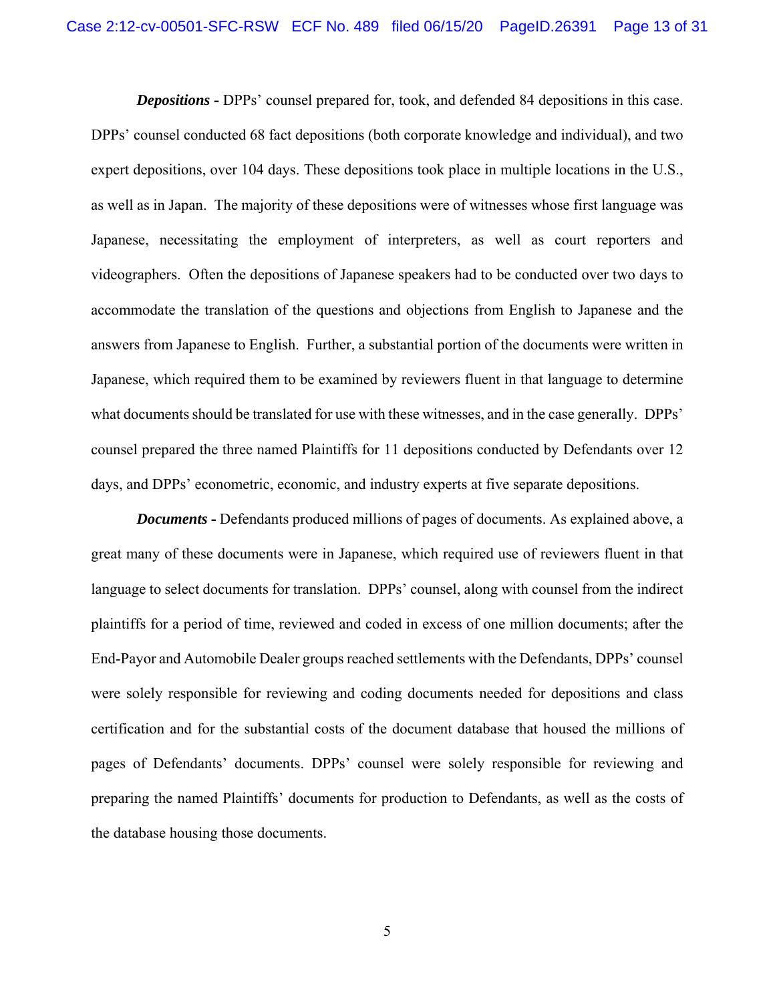*Depositions* **-** DPPs' counsel prepared for, took, and defended 84 depositions in this case. DPPs' counsel conducted 68 fact depositions (both corporate knowledge and individual), and two

expert depositions, over 104 days. These depositions took place in multiple locations in the U.S., as well as in Japan. The majority of these depositions were of witnesses whose first language was Japanese, necessitating the employment of interpreters, as well as court reporters and videographers. Often the depositions of Japanese speakers had to be conducted over two days to accommodate the translation of the questions and objections from English to Japanese and the answers from Japanese to English. Further, a substantial portion of the documents were written in Japanese, which required them to be examined by reviewers fluent in that language to determine what documents should be translated for use with these witnesses, and in the case generally. DPPs' counsel prepared the three named Plaintiffs for 11 depositions conducted by Defendants over 12 days, and DPPs' econometric, economic, and industry experts at five separate depositions.

*Documents* **-** Defendants produced millions of pages of documents. As explained above, a great many of these documents were in Japanese, which required use of reviewers fluent in that language to select documents for translation. DPPs' counsel, along with counsel from the indirect plaintiffs for a period of time, reviewed and coded in excess of one million documents; after the End-Payor and Automobile Dealer groups reached settlements with the Defendants, DPPs' counsel were solely responsible for reviewing and coding documents needed for depositions and class certification and for the substantial costs of the document database that housed the millions of pages of Defendants' documents. DPPs' counsel were solely responsible for reviewing and preparing the named Plaintiffs' documents for production to Defendants, as well as the costs of the database housing those documents.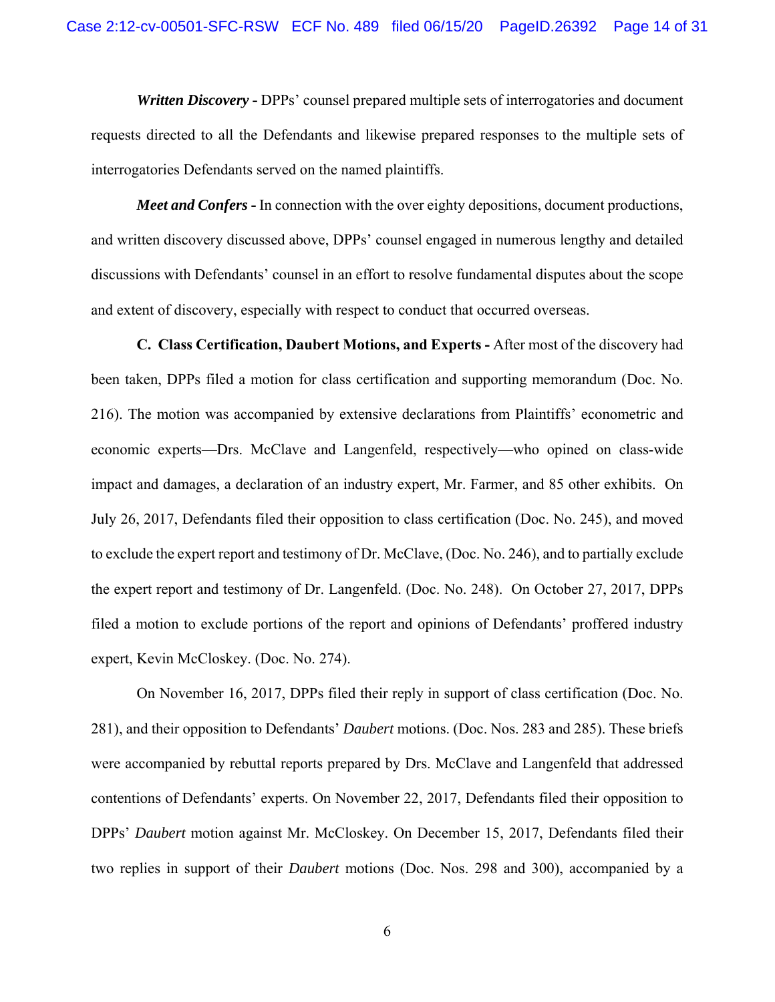*Written Discovery* **-** DPPs' counsel prepared multiple sets of interrogatories and document requests directed to all the Defendants and likewise prepared responses to the multiple sets of interrogatories Defendants served on the named plaintiffs.

*Meet and Confers* **-** In connection with the over eighty depositions, document productions, and written discovery discussed above, DPPs' counsel engaged in numerous lengthy and detailed discussions with Defendants' counsel in an effort to resolve fundamental disputes about the scope and extent of discovery, especially with respect to conduct that occurred overseas.

**C. Class Certification, Daubert Motions, and Experts -** After most of the discovery had been taken, DPPs filed a motion for class certification and supporting memorandum (Doc. No. 216). The motion was accompanied by extensive declarations from Plaintiffs' econometric and economic experts—Drs. McClave and Langenfeld, respectively—who opined on class-wide impact and damages, a declaration of an industry expert, Mr. Farmer, and 85 other exhibits. On July 26, 2017, Defendants filed their opposition to class certification (Doc. No. 245), and moved to exclude the expert report and testimony of Dr. McClave, (Doc. No. 246), and to partially exclude the expert report and testimony of Dr. Langenfeld. (Doc. No. 248). On October 27, 2017, DPPs filed a motion to exclude portions of the report and opinions of Defendants' proffered industry expert, Kevin McCloskey. (Doc. No. 274).

On November 16, 2017, DPPs filed their reply in support of class certification (Doc. No. 281), and their opposition to Defendants' *Daubert* motions. (Doc. Nos. 283 and 285). These briefs were accompanied by rebuttal reports prepared by Drs. McClave and Langenfeld that addressed contentions of Defendants' experts. On November 22, 2017, Defendants filed their opposition to DPPs' *Daubert* motion against Mr. McCloskey. On December 15, 2017, Defendants filed their two replies in support of their *Daubert* motions (Doc. Nos. 298 and 300), accompanied by a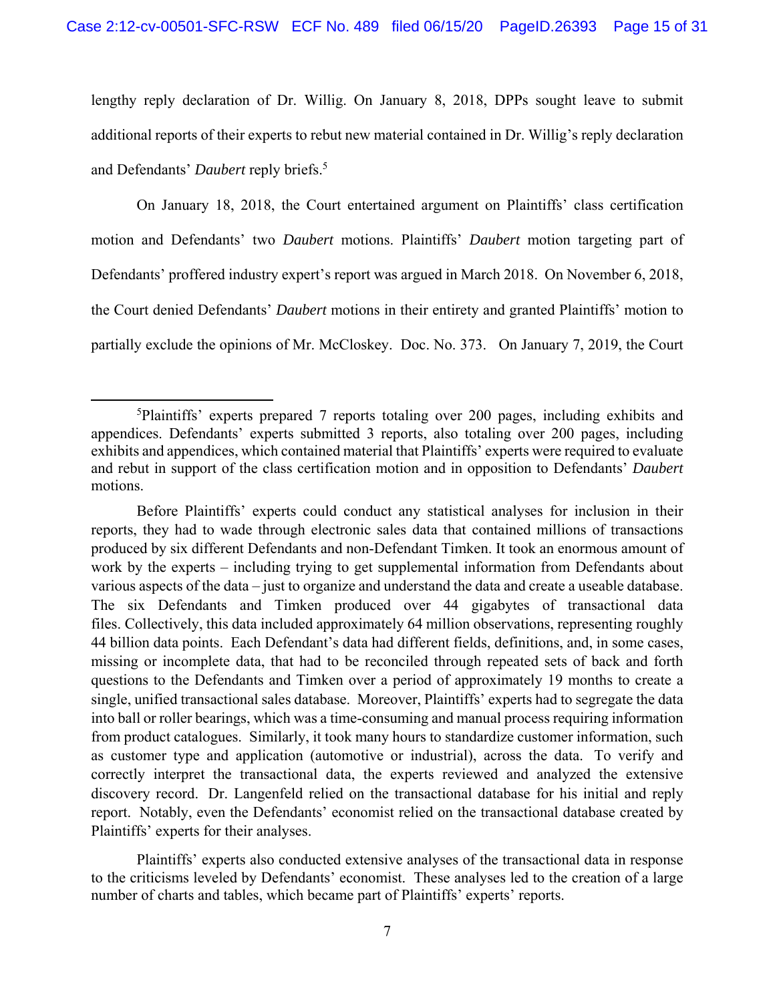lengthy reply declaration of Dr. Willig. On January 8, 2018, DPPs sought leave to submit additional reports of their experts to rebut new material contained in Dr. Willig's reply declaration and Defendants' *Daubert* reply briefs.5

On January 18, 2018, the Court entertained argument on Plaintiffs' class certification motion and Defendants' two *Daubert* motions. Plaintiffs' *Daubert* motion targeting part of Defendants' proffered industry expert's report was argued in March 2018. On November 6, 2018, the Court denied Defendants' *Daubert* motions in their entirety and granted Plaintiffs' motion to partially exclude the opinions of Mr. McCloskey. Doc. No. 373. On January 7, 2019, the Court

Plaintiffs' experts also conducted extensive analyses of the transactional data in response to the criticisms leveled by Defendants' economist. These analyses led to the creation of a large number of charts and tables, which became part of Plaintiffs' experts' reports.

<sup>5</sup> Plaintiffs' experts prepared 7 reports totaling over 200 pages, including exhibits and appendices. Defendants' experts submitted 3 reports, also totaling over 200 pages, including exhibits and appendices, which contained material that Plaintiffs' experts were required to evaluate and rebut in support of the class certification motion and in opposition to Defendants' *Daubert* motions.

Before Plaintiffs' experts could conduct any statistical analyses for inclusion in their reports, they had to wade through electronic sales data that contained millions of transactions produced by six different Defendants and non-Defendant Timken. It took an enormous amount of work by the experts – including trying to get supplemental information from Defendants about various aspects of the data – just to organize and understand the data and create a useable database. The six Defendants and Timken produced over 44 gigabytes of transactional data files. Collectively, this data included approximately 64 million observations, representing roughly 44 billion data points. Each Defendant's data had different fields, definitions, and, in some cases, missing or incomplete data, that had to be reconciled through repeated sets of back and forth questions to the Defendants and Timken over a period of approximately 19 months to create a single, unified transactional sales database. Moreover, Plaintiffs' experts had to segregate the data into ball or roller bearings, which was a time-consuming and manual process requiring information from product catalogues. Similarly, it took many hours to standardize customer information, such as customer type and application (automotive or industrial), across the data. To verify and correctly interpret the transactional data, the experts reviewed and analyzed the extensive discovery record. Dr. Langenfeld relied on the transactional database for his initial and reply report. Notably, even the Defendants' economist relied on the transactional database created by Plaintiffs' experts for their analyses.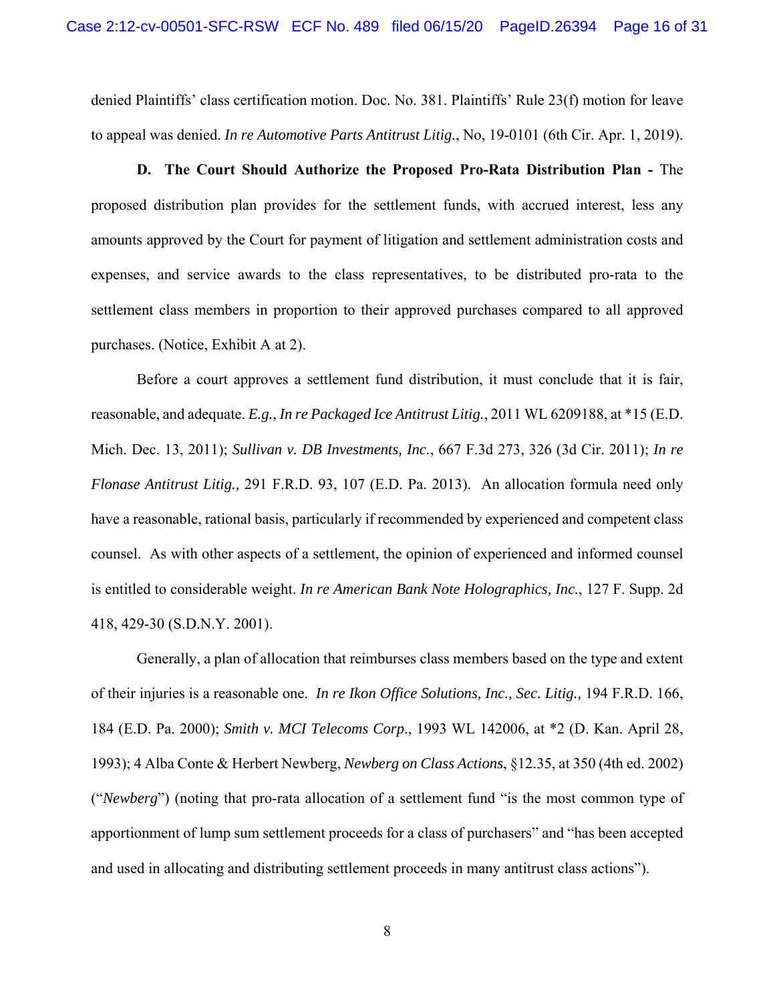denied Plaintiffs' class certification motion. Doc. No. 381. Plaintiffs' Rule 23(f) motion for leave to appeal was denied. *In re Automotive Parts Antitrust Litig.*, No, 19-0101 (6th Cir. Apr. 1, 2019).

**D. The Court Should Authorize the Proposed Pro-Rata Distribution Plan -** The proposed distribution plan provides for the settlement funds, with accrued interest, less any amounts approved by the Court for payment of litigation and settlement administration costs and expenses, and service awards to the class representatives, to be distributed pro-rata to the settlement class members in proportion to their approved purchases compared to all approved purchases. (Notice, Exhibit A at 2).

Before a court approves a settlement fund distribution, it must conclude that it is fair, reasonable, and adequate. *E.g.*, *In re Packaged Ice Antitrust Litig.*, 2011 WL 6209188, at \*15 (E.D. Mich. Dec. 13, 2011); *Sullivan v. DB Investments, Inc.*, 667 F.3d 273, 326 (3d Cir. 2011); *In re Flonase Antitrust Litig.,* 291 F.R.D. 93, 107 (E.D. Pa. 2013). An allocation formula need only have a reasonable, rational basis, particularly if recommended by experienced and competent class counsel. As with other aspects of a settlement, the opinion of experienced and informed counsel is entitled to considerable weight. *In re American Bank Note Holographics, Inc.*, 127 F. Supp. 2d 418, 429-30 (S.D.N.Y. 2001).

Generally, a plan of allocation that reimburses class members based on the type and extent of their injuries is a reasonable one. *In re Ikon Office Solutions, Inc., Sec. Litig.,* 194 F.R.D. 166, 184 (E.D. Pa. 2000); *Smith v. MCI Telecoms Corp*., 1993 WL 142006, at \*2 (D. Kan. April 28, 1993); 4 Alba Conte & Herbert Newberg, *Newberg on Class Actions*, §12.35, at 350 (4th ed. 2002) ("*Newberg*") (noting that pro-rata allocation of a settlement fund "is the most common type of apportionment of lump sum settlement proceeds for a class of purchasers" and "has been accepted and used in allocating and distributing settlement proceeds in many antitrust class actions").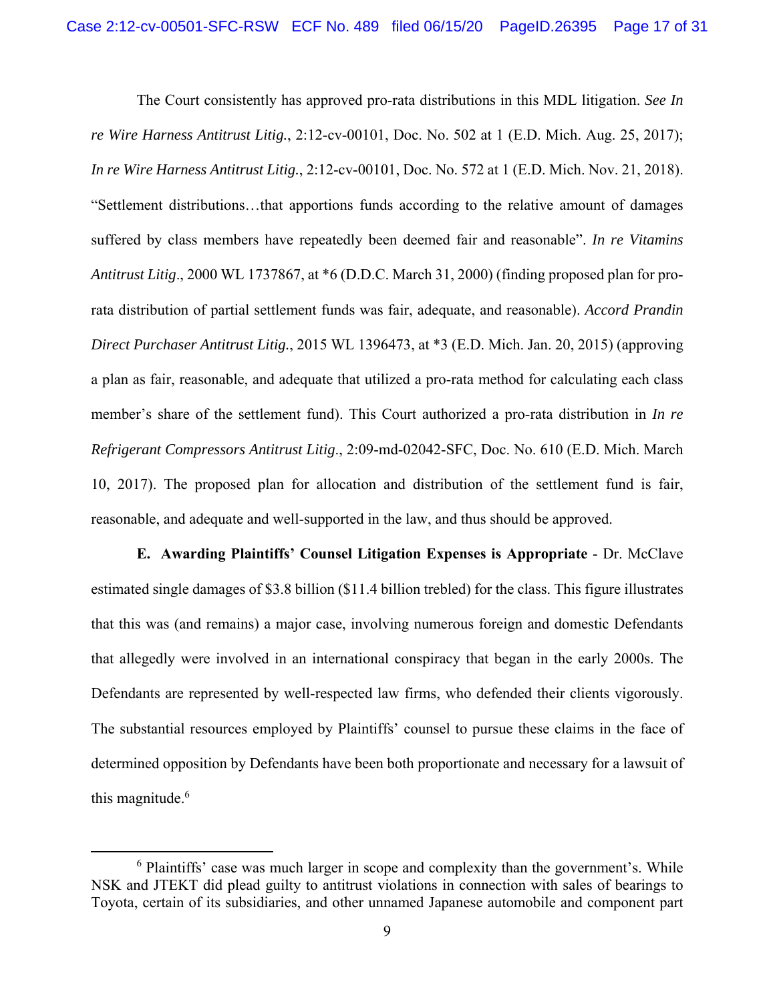The Court consistently has approved pro-rata distributions in this MDL litigation. *See In re Wire Harness Antitrust Litig.*, 2:12-cv-00101, Doc. No. 502 at 1 (E.D. Mich. Aug. 25, 2017); *In re Wire Harness Antitrust Litig.*, 2:12-cv-00101, Doc. No. 572 at 1 (E.D. Mich. Nov. 21, 2018). "Settlement distributions…that apportions funds according to the relative amount of damages suffered by class members have repeatedly been deemed fair and reasonable". *In re Vitamins Antitrust Litig*., 2000 WL 1737867, at \*6 (D.D.C. March 31, 2000) (finding proposed plan for prorata distribution of partial settlement funds was fair, adequate, and reasonable). *Accord Prandin Direct Purchaser Antitrust Litig.*, 2015 WL 1396473, at \*3 (E.D. Mich. Jan. 20, 2015) (approving a plan as fair, reasonable, and adequate that utilized a pro-rata method for calculating each class member's share of the settlement fund). This Court authorized a pro-rata distribution in *In re Refrigerant Compressors Antitrust Litig*., 2:09-md-02042-SFC, Doc. No. 610 (E.D. Mich. March 10, 2017). The proposed plan for allocation and distribution of the settlement fund is fair, reasonable, and adequate and well-supported in the law, and thus should be approved.

**E. Awarding Plaintiffs' Counsel Litigation Expenses is Appropriate** - Dr. McClave estimated single damages of \$3.8 billion (\$11.4 billion trebled) for the class. This figure illustrates that this was (and remains) a major case, involving numerous foreign and domestic Defendants that allegedly were involved in an international conspiracy that began in the early 2000s. The Defendants are represented by well-respected law firms, who defended their clients vigorously. The substantial resources employed by Plaintiffs' counsel to pursue these claims in the face of determined opposition by Defendants have been both proportionate and necessary for a lawsuit of this magnitude.<sup>6</sup>

<sup>&</sup>lt;sup>6</sup> Plaintiffs' case was much larger in scope and complexity than the government's. While NSK and JTEKT did plead guilty to antitrust violations in connection with sales of bearings to Toyota, certain of its subsidiaries, and other unnamed Japanese automobile and component part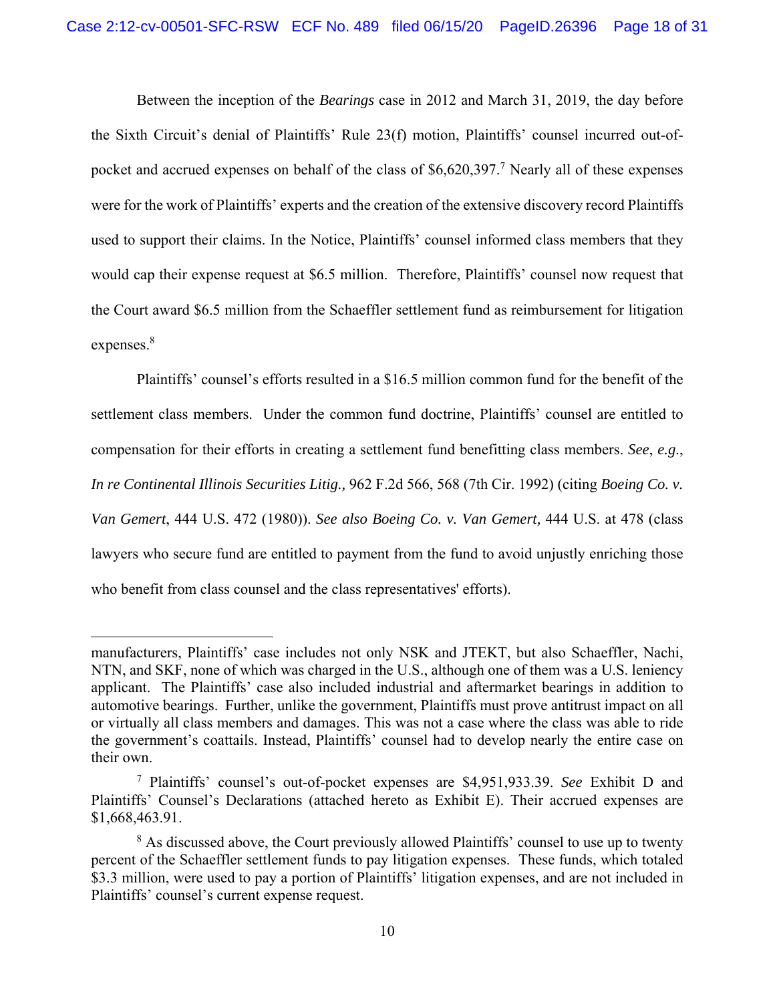Between the inception of the *Bearings* case in 2012 and March 31, 2019, the day before the Sixth Circuit's denial of Plaintiffs' Rule 23(f) motion, Plaintiffs' counsel incurred out-ofpocket and accrued expenses on behalf of the class of \$6,620,397.<sup>7</sup> Nearly all of these expenses were for the work of Plaintiffs' experts and the creation of the extensive discovery record Plaintiffs used to support their claims. In the Notice, Plaintiffs' counsel informed class members that they would cap their expense request at \$6.5 million. Therefore, Plaintiffs' counsel now request that the Court award \$6.5 million from the Schaeffler settlement fund as reimbursement for litigation expenses.<sup>8</sup>

Plaintiffs' counsel's efforts resulted in a \$16.5 million common fund for the benefit of the settlement class members. Under the common fund doctrine, Plaintiffs' counsel are entitled to compensation for their efforts in creating a settlement fund benefitting class members. *See*, *e.g*., *In re Continental Illinois Securities Litig.,* 962 F.2d 566, 568 (7th Cir. 1992) (citing *Boeing Co. v. Van Gemert*, 444 U.S. 472 (1980)). *See also Boeing Co. v. Van Gemert,* 444 U.S. at 478 (class lawyers who secure fund are entitled to payment from the fund to avoid unjustly enriching those who benefit from class counsel and the class representatives' efforts).

manufacturers, Plaintiffs' case includes not only NSK and JTEKT, but also Schaeffler, Nachi, NTN, and SKF, none of which was charged in the U.S., although one of them was a U.S. leniency applicant. The Plaintiffs' case also included industrial and aftermarket bearings in addition to automotive bearings. Further, unlike the government, Plaintiffs must prove antitrust impact on all or virtually all class members and damages. This was not a case where the class was able to ride the government's coattails. Instead, Plaintiffs' counsel had to develop nearly the entire case on their own.

<sup>7</sup> Plaintiffs' counsel's out-of-pocket expenses are \$4,951,933.39. *See* Exhibit D and Plaintiffs' Counsel's Declarations (attached hereto as Exhibit E). Their accrued expenses are \$1,668,463.91.

<sup>&</sup>lt;sup>8</sup> As discussed above, the Court previously allowed Plaintiffs' counsel to use up to twenty percent of the Schaeffler settlement funds to pay litigation expenses. These funds, which totaled \$3.3 million, were used to pay a portion of Plaintiffs' litigation expenses, and are not included in Plaintiffs' counsel's current expense request.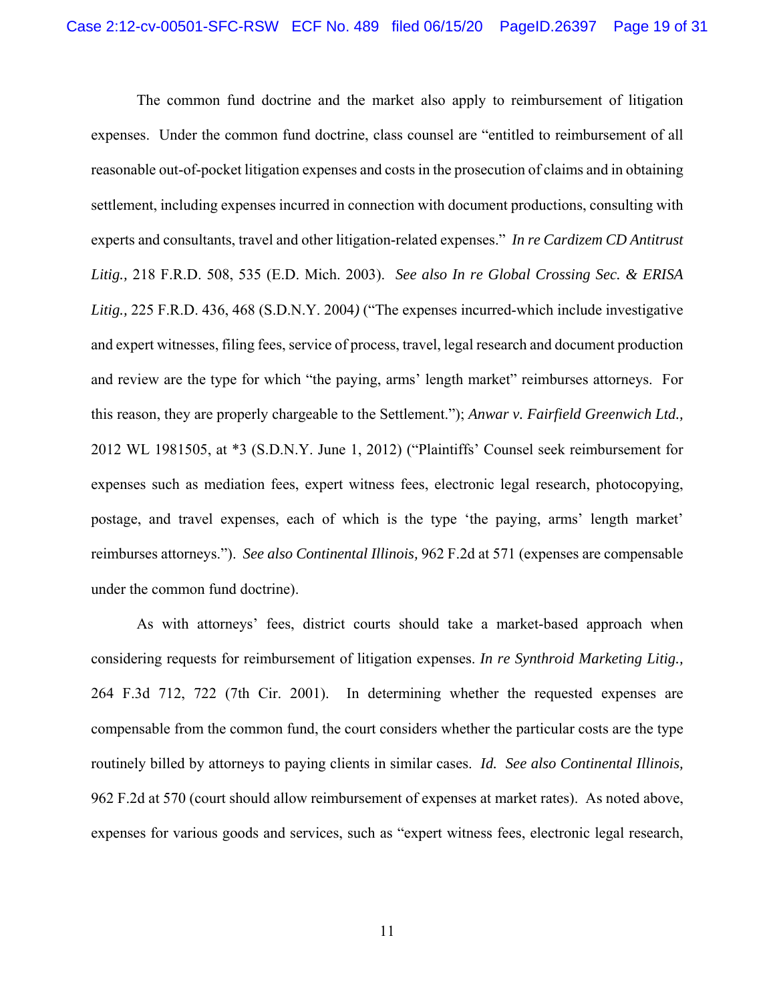The common fund doctrine and the market also apply to reimbursement of litigation expenses. Under the common fund doctrine, class counsel are "entitled to reimbursement of all reasonable out-of-pocket litigation expenses and costs in the prosecution of claims and in obtaining settlement, including expenses incurred in connection with document productions, consulting with experts and consultants, travel and other litigation-related expenses." *In re Cardizem CD Antitrust Litig.,* 218 F.R.D. 508, 535 (E.D. Mich. 2003). *See also In re Global Crossing Sec. & ERISA Litig.,* 225 F.R.D. 436, 468 (S.D.N.Y. 2004*)* ("The expenses incurred-which include investigative and expert witnesses, filing fees, service of process, travel, legal research and document production and review are the type for which "the paying, arms' length market" reimburses attorneys. For this reason, they are properly chargeable to the Settlement."); *Anwar v. Fairfield Greenwich Ltd.,*  2012 WL 1981505, at \*3 (S.D.N.Y. June 1, 2012) ("Plaintiffs' Counsel seek reimbursement for expenses such as mediation fees, expert witness fees, electronic legal research, photocopying, postage, and travel expenses, each of which is the type 'the paying, arms' length market' reimburses attorneys."). *See also Continental Illinois,* 962 F.2d at 571 (expenses are compensable under the common fund doctrine).

As with attorneys' fees, district courts should take a market-based approach when considering requests for reimbursement of litigation expenses. *In re Synthroid Marketing Litig.,*  264 F.3d 712, 722 (7th Cir. 2001). In determining whether the requested expenses are compensable from the common fund, the court considers whether the particular costs are the type routinely billed by attorneys to paying clients in similar cases. *Id. See also Continental Illinois,*  962 F.2d at 570 (court should allow reimbursement of expenses at market rates). As noted above, expenses for various goods and services, such as "expert witness fees, electronic legal research,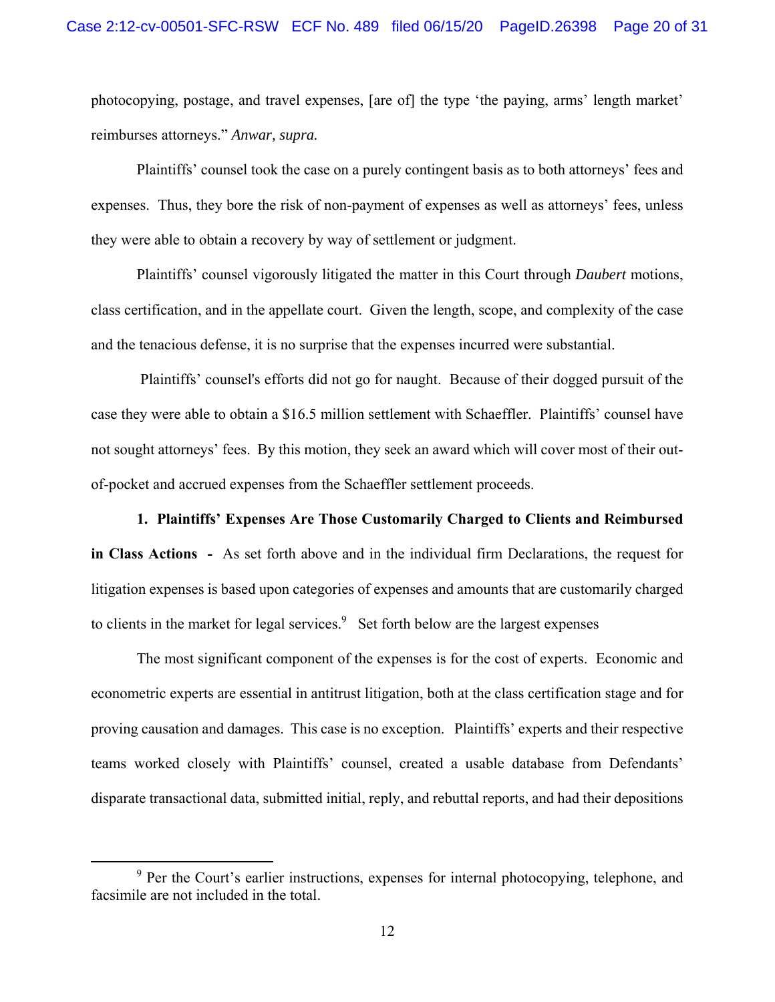photocopying, postage, and travel expenses, [are of] the type 'the paying, arms' length market' reimburses attorneys." *Anwar, supra.*

Plaintiffs' counsel took the case on a purely contingent basis as to both attorneys' fees and expenses. Thus, they bore the risk of non-payment of expenses as well as attorneys' fees, unless they were able to obtain a recovery by way of settlement or judgment.

Plaintiffs' counsel vigorously litigated the matter in this Court through *Daubert* motions, class certification, and in the appellate court. Given the length, scope, and complexity of the case and the tenacious defense, it is no surprise that the expenses incurred were substantial.

 Plaintiffs' counsel's efforts did not go for naught. Because of their dogged pursuit of the case they were able to obtain a \$16.5 million settlement with Schaeffler. Plaintiffs' counsel have not sought attorneys' fees. By this motion, they seek an award which will cover most of their outof-pocket and accrued expenses from the Schaeffler settlement proceeds.

**1. Plaintiffs' Expenses Are Those Customarily Charged to Clients and Reimbursed in Class Actions -** As set forth above and in the individual firm Declarations, the request for litigation expenses is based upon categories of expenses and amounts that are customarily charged to clients in the market for legal services. $9$  Set forth below are the largest expenses

The most significant component of the expenses is for the cost of experts. Economic and econometric experts are essential in antitrust litigation, both at the class certification stage and for proving causation and damages. This case is no exception. Plaintiffs' experts and their respective teams worked closely with Plaintiffs' counsel, created a usable database from Defendants' disparate transactional data, submitted initial, reply, and rebuttal reports, and had their depositions

<sup>&</sup>lt;sup>9</sup> Per the Court's earlier instructions, expenses for internal photocopying, telephone, and facsimile are not included in the total.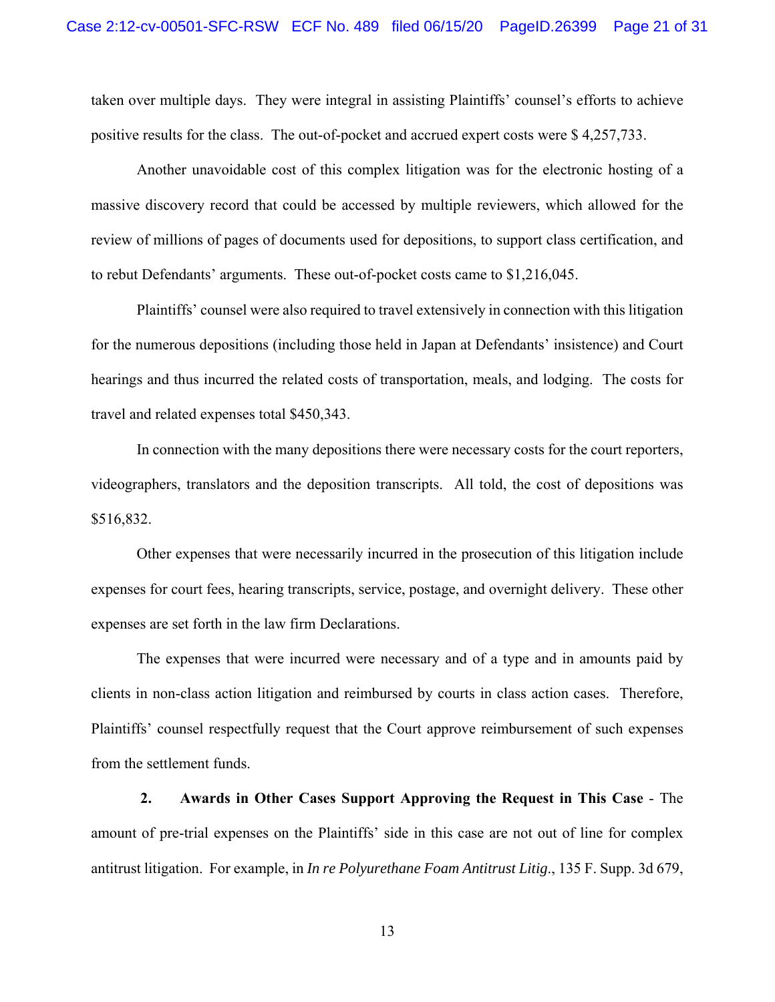taken over multiple days. They were integral in assisting Plaintiffs' counsel's efforts to achieve positive results for the class. The out-of-pocket and accrued expert costs were \$ 4,257,733.

Another unavoidable cost of this complex litigation was for the electronic hosting of a massive discovery record that could be accessed by multiple reviewers, which allowed for the review of millions of pages of documents used for depositions, to support class certification, and to rebut Defendants' arguments. These out-of-pocket costs came to \$1,216,045.

Plaintiffs' counsel were also required to travel extensively in connection with this litigation for the numerous depositions (including those held in Japan at Defendants' insistence) and Court hearings and thus incurred the related costs of transportation, meals, and lodging. The costs for travel and related expenses total \$450,343.

In connection with the many depositions there were necessary costs for the court reporters, videographers, translators and the deposition transcripts. All told, the cost of depositions was \$516,832.

Other expenses that were necessarily incurred in the prosecution of this litigation include expenses for court fees, hearing transcripts, service, postage, and overnight delivery. These other expenses are set forth in the law firm Declarations.

The expenses that were incurred were necessary and of a type and in amounts paid by clients in non-class action litigation and reimbursed by courts in class action cases. Therefore, Plaintiffs' counsel respectfully request that the Court approve reimbursement of such expenses from the settlement funds.

 **2. Awards in Other Cases Support Approving the Request in This Case** - The amount of pre-trial expenses on the Plaintiffs' side in this case are not out of line for complex antitrust litigation. For example, in *In re Polyurethane Foam Antitrust Litig*., 135 F. Supp. 3d 679,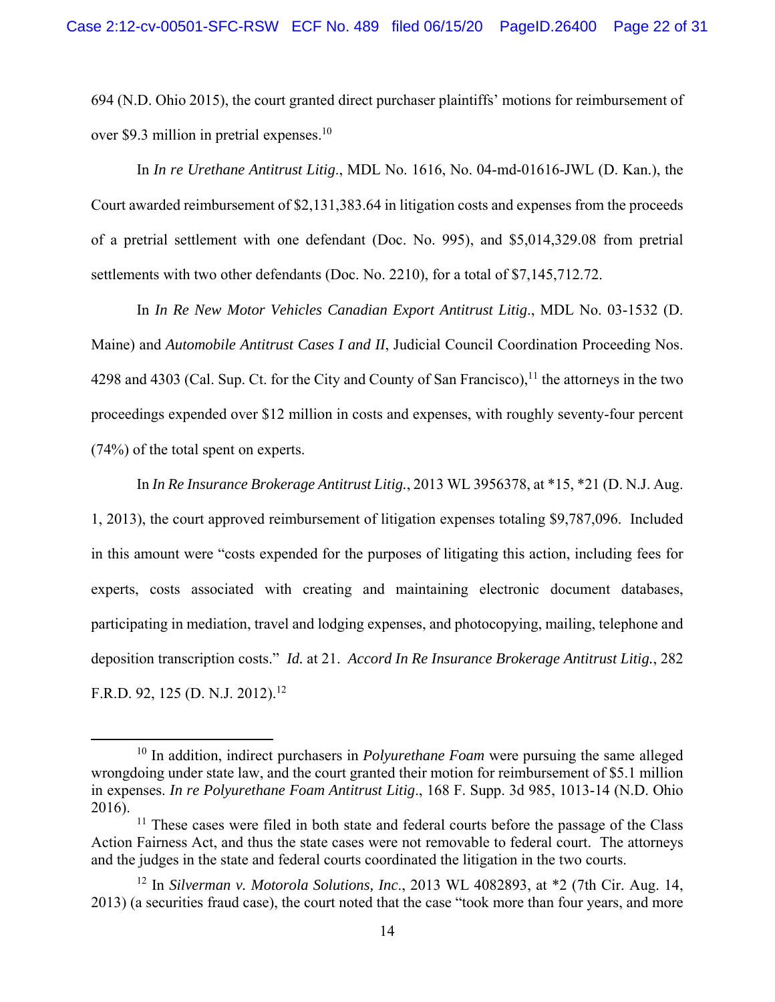694 (N.D. Ohio 2015), the court granted direct purchaser plaintiffs' motions for reimbursement of over \$9.3 million in pretrial expenses.<sup>10</sup>

In *In re Urethane Antitrust Litig*., MDL No. 1616, No. 04-md-01616-JWL (D. Kan.), the Court awarded reimbursement of \$2,131,383.64 in litigation costs and expenses from the proceeds of a pretrial settlement with one defendant (Doc. No. 995), and \$5,014,329.08 from pretrial settlements with two other defendants (Doc. No. 2210), for a total of \$7,145,712.72.

 In *In Re New Motor Vehicles Canadian Export Antitrust Litig*., MDL No. 03-1532 (D. Maine) and *Automobile Antitrust Cases I and II*, Judicial Council Coordination Proceeding Nos. 4298 and 4303 (Cal. Sup. Ct. for the City and County of San Francisco),  $11$  the attorneys in the two proceedings expended over \$12 million in costs and expenses, with roughly seventy-four percent (74%) of the total spent on experts.

In *In Re Insurance Brokerage Antitrust Litig.*, 2013 WL 3956378, at \*15, \*21 (D. N.J. Aug. 1, 2013), the court approved reimbursement of litigation expenses totaling \$9,787,096. Included in this amount were "costs expended for the purposes of litigating this action, including fees for experts, costs associated with creating and maintaining electronic document databases, participating in mediation, travel and lodging expenses, and photocopying, mailing, telephone and deposition transcription costs." *Id.* at 21. *Accord In Re Insurance Brokerage Antitrust Litig.*, 282 F.R.D. 92, 125 (D. N.J. 2012).<sup>12</sup>

<sup>&</sup>lt;sup>10</sup> In addition, indirect purchasers in *Polyurethane Foam* were pursuing the same alleged wrongdoing under state law, and the court granted their motion for reimbursement of \$5.1 million in expenses. *In re Polyurethane Foam Antitrust Litig*., 168 F. Supp. 3d 985, 1013-14 (N.D. Ohio 2016).

 $11$  These cases were filed in both state and federal courts before the passage of the Class Action Fairness Act, and thus the state cases were not removable to federal court. The attorneys and the judges in the state and federal courts coordinated the litigation in the two courts.

<sup>12</sup> In *Silverman v. Motorola Solutions, Inc*., 2013 WL 4082893, at \*2 (7th Cir. Aug. 14, 2013) (a securities fraud case), the court noted that the case "took more than four years, and more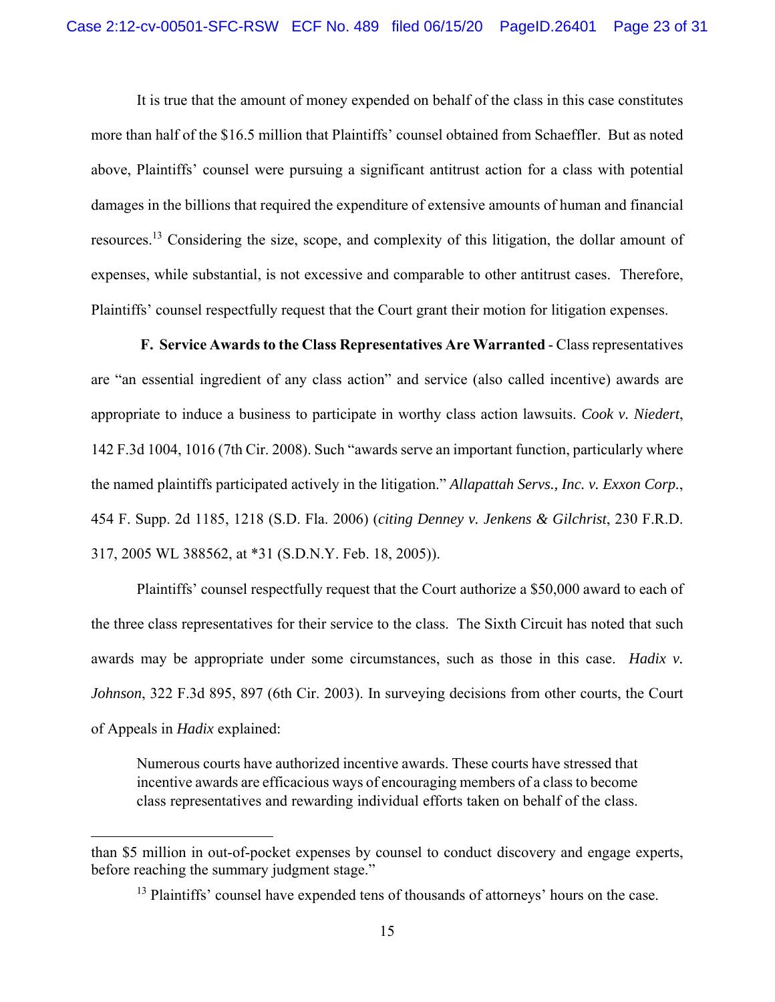It is true that the amount of money expended on behalf of the class in this case constitutes more than half of the \$16.5 million that Plaintiffs' counsel obtained from Schaeffler. But as noted above, Plaintiffs' counsel were pursuing a significant antitrust action for a class with potential damages in the billions that required the expenditure of extensive amounts of human and financial resources.13 Considering the size, scope, and complexity of this litigation, the dollar amount of expenses, while substantial, is not excessive and comparable to other antitrust cases. Therefore, Plaintiffs' counsel respectfully request that the Court grant their motion for litigation expenses.

 **F. Service Awards to the Class Representatives Are Warranted** - Class representatives are "an essential ingredient of any class action" and service (also called incentive) awards are appropriate to induce a business to participate in worthy class action lawsuits. *Cook v. Niedert*, 142 F.3d 1004, 1016 (7th Cir. 2008). Such "awards serve an important function, particularly where the named plaintiffs participated actively in the litigation." *Allapattah Servs., Inc. v. Exxon Corp.*, 454 F. Supp. 2d 1185, 1218 (S.D. Fla. 2006) (*citing Denney v. Jenkens & Gilchrist*, 230 F.R.D. 317, 2005 WL 388562, at \*31 (S.D.N.Y. Feb. 18, 2005)).

Plaintiffs' counsel respectfully request that the Court authorize a \$50,000 award to each of the three class representatives for their service to the class. The Sixth Circuit has noted that such awards may be appropriate under some circumstances, such as those in this case. *Hadix v. Johnson*, 322 F.3d 895, 897 (6th Cir. 2003). In surveying decisions from other courts, the Court of Appeals in *Hadix* explained:

Numerous courts have authorized incentive awards. These courts have stressed that incentive awards are efficacious ways of encouraging members of a class to become class representatives and rewarding individual efforts taken on behalf of the class.

than \$5 million in out-of-pocket expenses by counsel to conduct discovery and engage experts, before reaching the summary judgment stage."

<sup>&</sup>lt;sup>13</sup> Plaintiffs' counsel have expended tens of thousands of attorneys' hours on the case.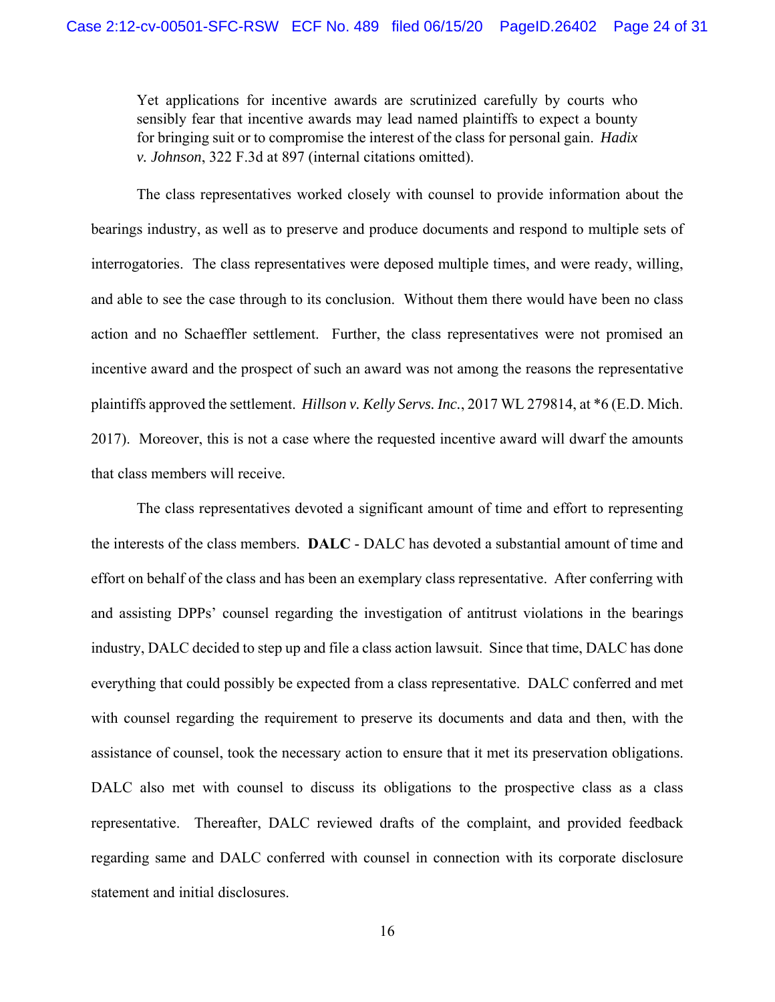Yet applications for incentive awards are scrutinized carefully by courts who sensibly fear that incentive awards may lead named plaintiffs to expect a bounty for bringing suit or to compromise the interest of the class for personal gain. *Hadix v. Johnson*, 322 F.3d at 897 (internal citations omitted).

 The class representatives worked closely with counsel to provide information about the bearings industry, as well as to preserve and produce documents and respond to multiple sets of interrogatories. The class representatives were deposed multiple times, and were ready, willing, and able to see the case through to its conclusion. Without them there would have been no class action and no Schaeffler settlement. Further, the class representatives were not promised an incentive award and the prospect of such an award was not among the reasons the representative plaintiffs approved the settlement. *Hillson v. Kelly Servs. Inc.*, 2017 WL 279814, at \*6 (E.D. Mich. 2017). Moreover, this is not a case where the requested incentive award will dwarf the amounts that class members will receive.

 The class representatives devoted a significant amount of time and effort to representing the interests of the class members. **DALC** - DALC has devoted a substantial amount of time and effort on behalf of the class and has been an exemplary class representative. After conferring with and assisting DPPs' counsel regarding the investigation of antitrust violations in the bearings industry, DALC decided to step up and file a class action lawsuit. Since that time, DALC has done everything that could possibly be expected from a class representative. DALC conferred and met with counsel regarding the requirement to preserve its documents and data and then, with the assistance of counsel, took the necessary action to ensure that it met its preservation obligations. DALC also met with counsel to discuss its obligations to the prospective class as a class representative. Thereafter, DALC reviewed drafts of the complaint, and provided feedback regarding same and DALC conferred with counsel in connection with its corporate disclosure statement and initial disclosures.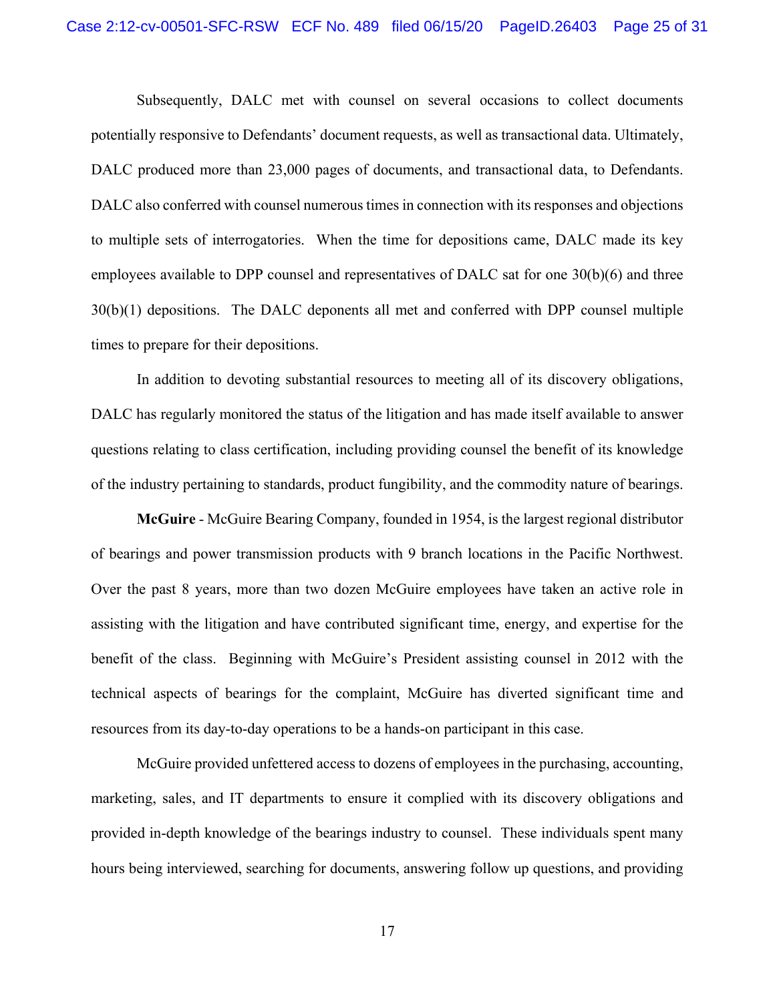Subsequently, DALC met with counsel on several occasions to collect documents potentially responsive to Defendants' document requests, as well as transactional data. Ultimately, DALC produced more than 23,000 pages of documents, and transactional data, to Defendants. DALC also conferred with counsel numerous times in connection with its responses and objections to multiple sets of interrogatories. When the time for depositions came, DALC made its key employees available to DPP counsel and representatives of DALC sat for one 30(b)(6) and three 30(b)(1) depositions. The DALC deponents all met and conferred with DPP counsel multiple times to prepare for their depositions.

In addition to devoting substantial resources to meeting all of its discovery obligations, DALC has regularly monitored the status of the litigation and has made itself available to answer questions relating to class certification, including providing counsel the benefit of its knowledge of the industry pertaining to standards, product fungibility, and the commodity nature of bearings.

**McGuire** - McGuire Bearing Company, founded in 1954, is the largest regional distributor of bearings and power transmission products with 9 branch locations in the Pacific Northwest. Over the past 8 years, more than two dozen McGuire employees have taken an active role in assisting with the litigation and have contributed significant time, energy, and expertise for the benefit of the class. Beginning with McGuire's President assisting counsel in 2012 with the technical aspects of bearings for the complaint, McGuire has diverted significant time and resources from its day-to-day operations to be a hands-on participant in this case.

McGuire provided unfettered access to dozens of employees in the purchasing, accounting, marketing, sales, and IT departments to ensure it complied with its discovery obligations and provided in-depth knowledge of the bearings industry to counsel. These individuals spent many hours being interviewed, searching for documents, answering follow up questions, and providing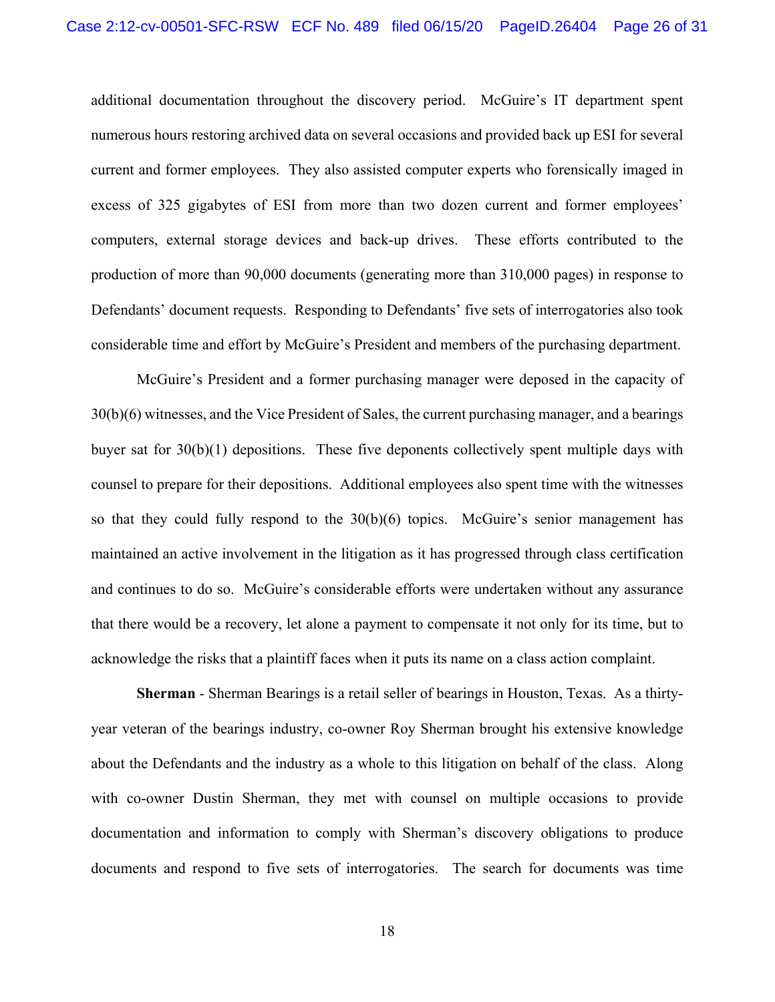additional documentation throughout the discovery period. McGuire's IT department spent numerous hours restoring archived data on several occasions and provided back up ESI for several current and former employees. They also assisted computer experts who forensically imaged in excess of 325 gigabytes of ESI from more than two dozen current and former employees' computers, external storage devices and back-up drives. These efforts contributed to the production of more than 90,000 documents (generating more than 310,000 pages) in response to Defendants' document requests. Responding to Defendants' five sets of interrogatories also took considerable time and effort by McGuire's President and members of the purchasing department.

McGuire's President and a former purchasing manager were deposed in the capacity of 30(b)(6) witnesses, and the Vice President of Sales, the current purchasing manager, and a bearings buyer sat for  $30(b)(1)$  depositions. These five deponents collectively spent multiple days with counsel to prepare for their depositions. Additional employees also spent time with the witnesses so that they could fully respond to the  $30(b)(6)$  topics. McGuire's senior management has maintained an active involvement in the litigation as it has progressed through class certification and continues to do so. McGuire's considerable efforts were undertaken without any assurance that there would be a recovery, let alone a payment to compensate it not only for its time, but to acknowledge the risks that a plaintiff faces when it puts its name on a class action complaint.

**Sherman** - Sherman Bearings is a retail seller of bearings in Houston, Texas. As a thirtyyear veteran of the bearings industry, co-owner Roy Sherman brought his extensive knowledge about the Defendants and the industry as a whole to this litigation on behalf of the class. Along with co-owner Dustin Sherman, they met with counsel on multiple occasions to provide documentation and information to comply with Sherman's discovery obligations to produce documents and respond to five sets of interrogatories. The search for documents was time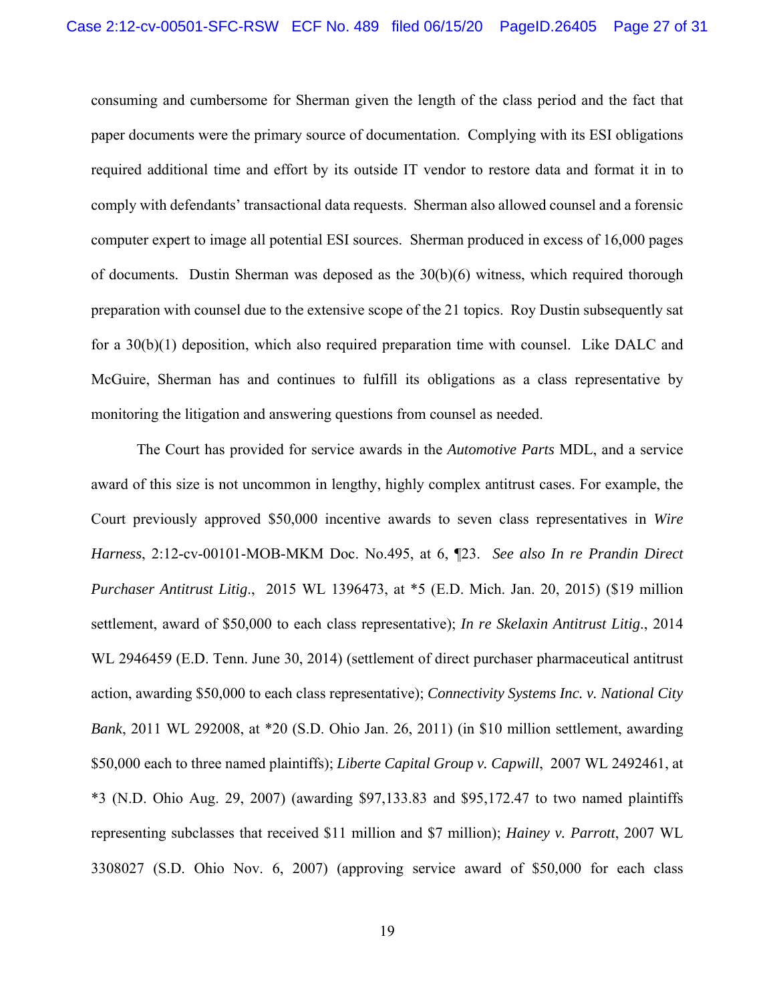consuming and cumbersome for Sherman given the length of the class period and the fact that paper documents were the primary source of documentation. Complying with its ESI obligations required additional time and effort by its outside IT vendor to restore data and format it in to comply with defendants' transactional data requests. Sherman also allowed counsel and a forensic computer expert to image all potential ESI sources. Sherman produced in excess of 16,000 pages of documents. Dustin Sherman was deposed as the 30(b)(6) witness, which required thorough preparation with counsel due to the extensive scope of the 21 topics. Roy Dustin subsequently sat for a 30(b)(1) deposition, which also required preparation time with counsel. Like DALC and McGuire, Sherman has and continues to fulfill its obligations as a class representative by monitoring the litigation and answering questions from counsel as needed.

The Court has provided for service awards in the *Automotive Parts* MDL, and a service award of this size is not uncommon in lengthy, highly complex antitrust cases. For example, the Court previously approved \$50,000 incentive awards to seven class representatives in *Wire Harness*, 2:12-cv-00101-MOB-MKM Doc. No.495, at 6, ¶23. *See also In re Prandin Direct Purchaser Antitrust Litig*., 2015 WL 1396473, at \*5 (E.D. Mich. Jan. 20, 2015) (\$19 million settlement, award of \$50,000 to each class representative); *In re Skelaxin Antitrust Litig*., 2014 WL 2946459 (E.D. Tenn. June 30, 2014) (settlement of direct purchaser pharmaceutical antitrust action, awarding \$50,000 to each class representative); *Connectivity Systems Inc. v. National City Bank*, 2011 WL 292008, at \*20 (S.D. Ohio Jan. 26, 2011) (in \$10 million settlement, awarding \$50,000 each to three named plaintiffs); *Liberte Capital Group v. Capwill*, 2007 WL 2492461, at \*3 (N.D. Ohio Aug. 29, 2007) (awarding \$97,133.83 and \$95,172.47 to two named plaintiffs representing subclasses that received \$11 million and \$7 million); *Hainey v. Parrott*, 2007 WL 3308027 (S.D. Ohio Nov. 6, 2007) (approving service award of \$50,000 for each class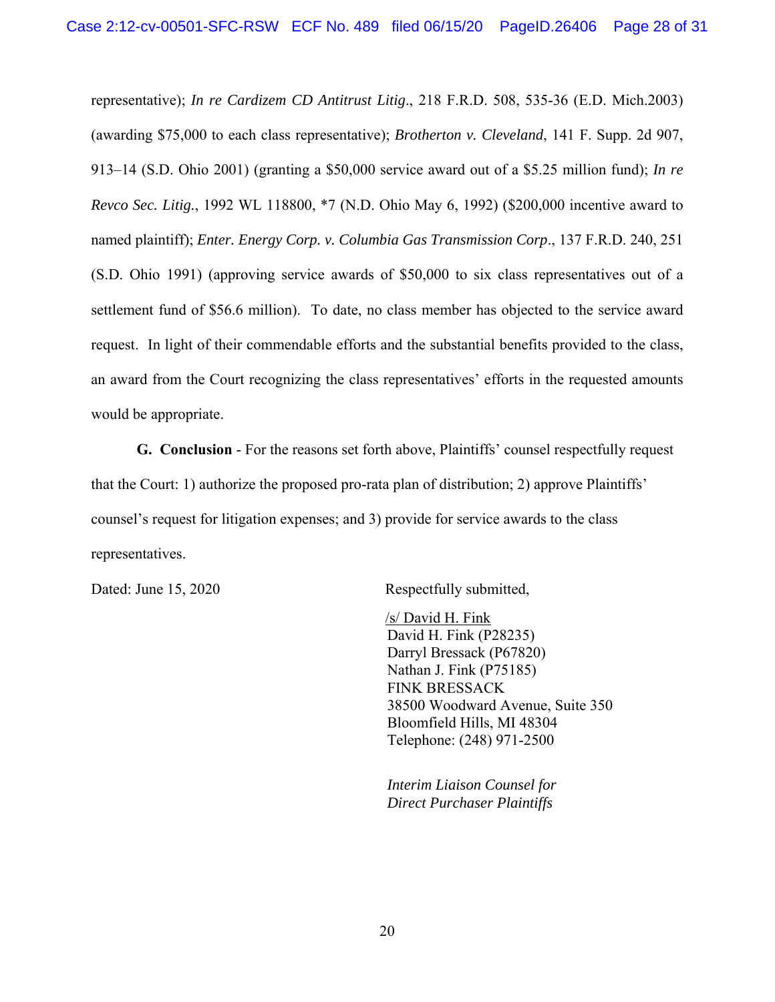representative); *In re Cardizem CD Antitrust Litig*., 218 F.R.D. 508, 535-36 (E.D. Mich.2003) (awarding \$75,000 to each class representative); *Brotherton v. Cleveland*, 141 F. Supp. 2d 907, 913–14 (S.D. Ohio 2001) (granting a \$50,000 service award out of a \$5.25 million fund); *In re Revco Sec. Litig.*, 1992 WL 118800, \*7 (N.D. Ohio May 6, 1992) (\$200,000 incentive award to named plaintiff); *Enter. Energy Corp. v. Columbia Gas Transmission Corp*., 137 F.R.D. 240, 251 (S.D. Ohio 1991) (approving service awards of \$50,000 to six class representatives out of a settlement fund of \$56.6 million). To date, no class member has objected to the service award request. In light of their commendable efforts and the substantial benefits provided to the class, an award from the Court recognizing the class representatives' efforts in the requested amounts would be appropriate.

**G. Conclusion** - For the reasons set forth above, Plaintiffs' counsel respectfully request that the Court: 1) authorize the proposed pro-rata plan of distribution; 2) approve Plaintiffs' counsel's request for litigation expenses; and 3) provide for service awards to the class representatives.

Dated: June 15, 2020 Respectfully submitted,

 /s/ David H. Fink David H. Fink (P28235) Darryl Bressack (P67820) Nathan J. Fink (P75185) FINK BRESSACK 38500 Woodward Avenue, Suite 350 Bloomfield Hills, MI 48304 Telephone: (248) 971-2500

*Interim Liaison Counsel for Direct Purchaser Plaintiffs*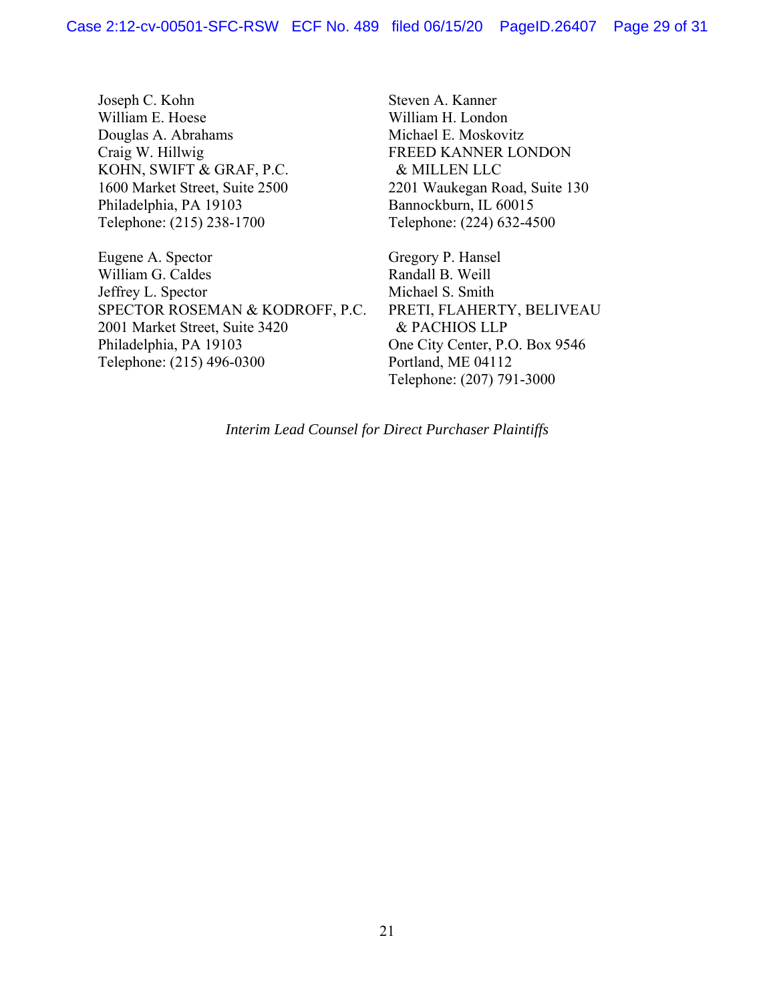Joseph C. Kohn William E. Hoese Douglas A. Abrahams Craig W. Hillwig KOHN, SWIFT & GRAF, P.C. 1600 Market Street, Suite 2500 Philadelphia, PA 19103 Telephone: (215) 238-1700

Eugene A. Spector William G. Caldes Jeffrey L. Spector SPECTOR ROSEMAN & KODROFF, P.C. 2001 Market Street, Suite 3420 Philadelphia, PA 19103 Telephone: (215) 496-0300

Steven A. Kanner William H. London Michael E. Moskovitz FREED KANNER LONDON & MILLEN LLC 2201 Waukegan Road, Suite 130 Bannockburn, IL 60015 Telephone: (224) 632-4500

Gregory P. Hansel Randall B. Weill Michael S. Smith PRETI, FLAHERTY, BELIVEAU & PACHIOS LLP One City Center, P.O. Box 9546 Portland, ME 04112 Telephone: (207) 791-3000

*Interim Lead Counsel for Direct Purchaser Plaintiffs*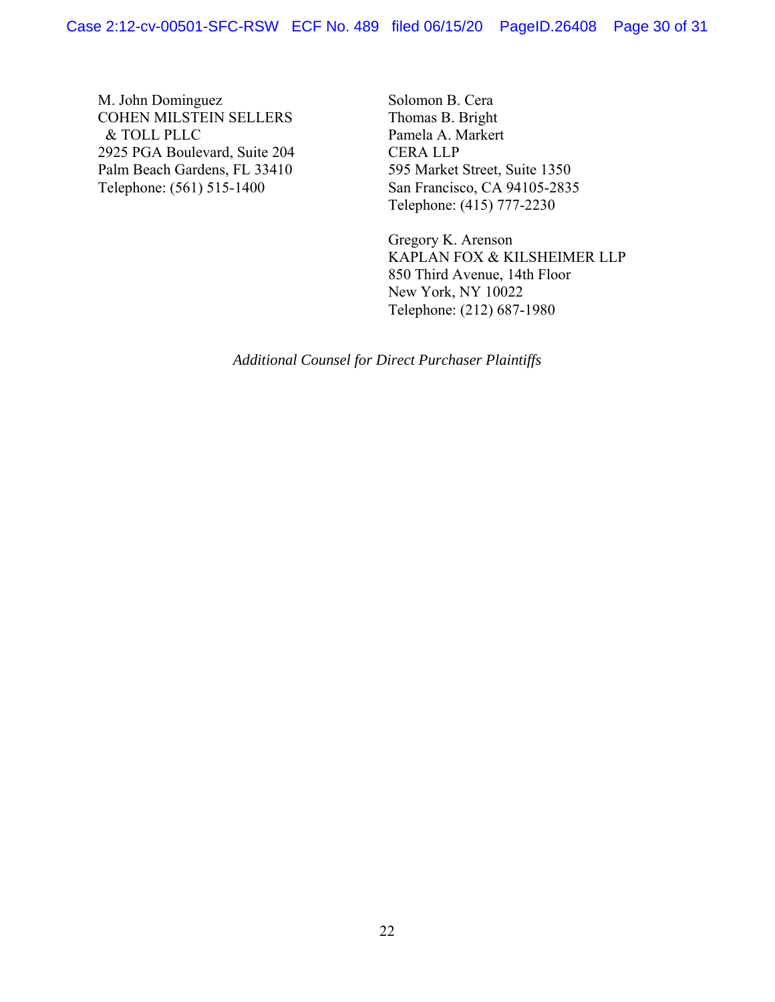M. John Dominguez COHEN MILSTEIN SELLERS & TOLL PLLC 2925 PGA Boulevard, Suite 204 Palm Beach Gardens, FL 33410 Telephone: (561) 515-1400

Solomon B. Cera Thomas B. Bright Pamela A. Markert CERA LLP 595 Market Street, Suite 1350 San Francisco, CA 94105-2835 Telephone: (415) 777-2230

Gregory K. Arenson KAPLAN FOX & KILSHEIMER LLP 850 Third Avenue, 14th Floor New York, NY 10022 Telephone: (212) 687-1980

*Additional Counsel for Direct Purchaser Plaintiffs*